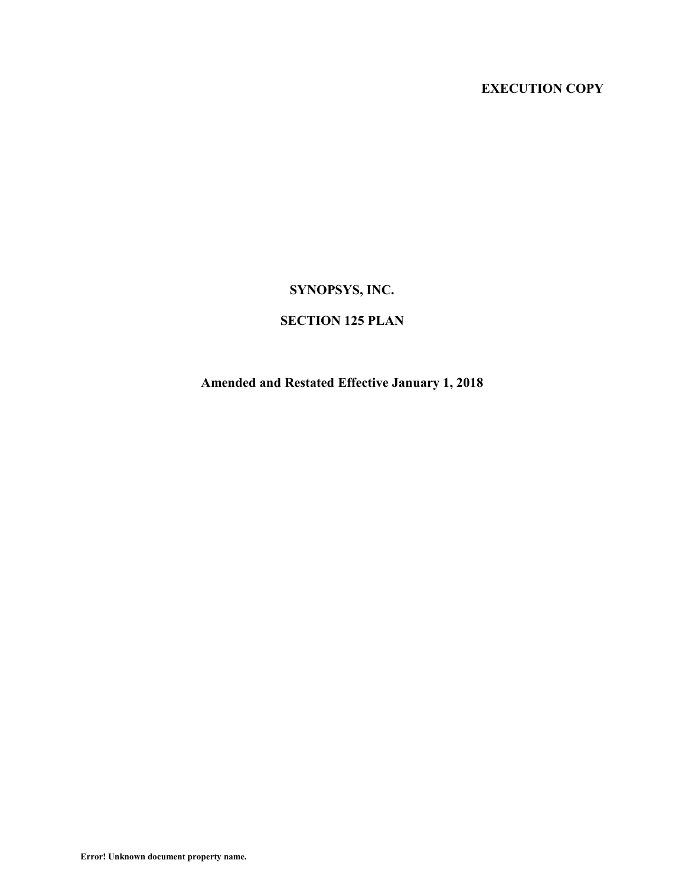# **EXECUTION COPY**

# **SYNOPSYS, INC.**

# **SECTION 125 PLAN**

# **Amended and Restated Effective January 1, 2018**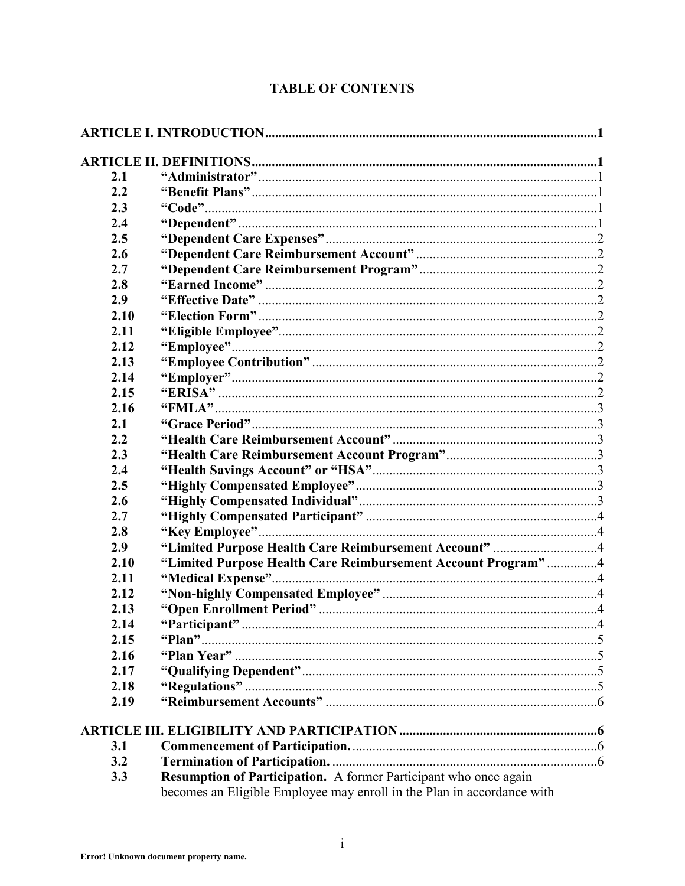# **TABLE OF CONTENTS**

| 2.1<br>2.2 |                                                              |  |
|------------|--------------------------------------------------------------|--|
| 2.3        |                                                              |  |
| 2.4        |                                                              |  |
| 2.5        |                                                              |  |
| 2.6        |                                                              |  |
| 2.7        |                                                              |  |
|            |                                                              |  |
| 2.8        |                                                              |  |
| 2.9        |                                                              |  |
| 2.10       |                                                              |  |
| 2.11       |                                                              |  |
| 2.12       |                                                              |  |
| 2.13       |                                                              |  |
| 2.14       |                                                              |  |
| 2.15       |                                                              |  |
| 2.16       |                                                              |  |
| 2.1        |                                                              |  |
| 2.2        |                                                              |  |
| 2.3        |                                                              |  |
| 2.4        |                                                              |  |
| 2.5        |                                                              |  |
| 2.6        |                                                              |  |
| 2.7        |                                                              |  |
| 2.8        |                                                              |  |
| 2.9        | "Limited Purpose Health Care Reimbursement Account" 4        |  |
| 2.10       | "Limited Purpose Health Care Reimbursement Account Program"4 |  |
| 2.11       |                                                              |  |
| 2.12       |                                                              |  |
| 2.13       |                                                              |  |
| 2.14       |                                                              |  |
| 2.15       |                                                              |  |
| 2.16       |                                                              |  |
| 2.17       |                                                              |  |
| 2.18       |                                                              |  |
| 2.19       |                                                              |  |
|            |                                                              |  |
| 3.1        |                                                              |  |
| 3.2        |                                                              |  |
|            |                                                              |  |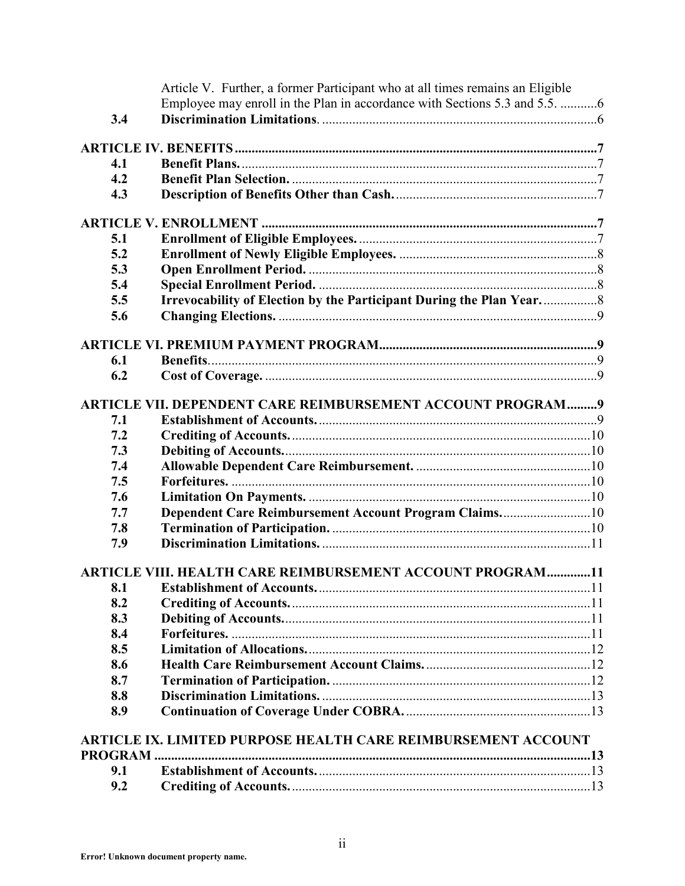|     | Article V. Further, a former Participant who at all times remains an Eligible |  |
|-----|-------------------------------------------------------------------------------|--|
|     | Employee may enroll in the Plan in accordance with Sections 5.3 and 5.5. 6    |  |
| 3.4 |                                                                               |  |
|     |                                                                               |  |
| 4.1 |                                                                               |  |
| 4.2 |                                                                               |  |
| 4.3 |                                                                               |  |
|     |                                                                               |  |
|     |                                                                               |  |
| 5.1 |                                                                               |  |
| 5.2 |                                                                               |  |
| 5.3 |                                                                               |  |
| 5.4 |                                                                               |  |
| 5.5 | Irrevocability of Election by the Participant During the Plan Year            |  |
| 5.6 |                                                                               |  |
|     |                                                                               |  |
| 6.1 |                                                                               |  |
| 6.2 |                                                                               |  |
|     |                                                                               |  |
|     | ARTICLE VII. DEPENDENT CARE REIMBURSEMENT ACCOUNT PROGRAM9                    |  |
| 7.1 |                                                                               |  |
| 7.2 |                                                                               |  |
| 7.3 |                                                                               |  |
| 7.4 |                                                                               |  |
| 7.5 |                                                                               |  |
| 7.6 |                                                                               |  |
| 7.7 | Dependent Care Reimbursement Account Program Claims10                         |  |
| 7.8 |                                                                               |  |
| 7.9 |                                                                               |  |
|     | <b>ARTICLE VIII. HEALTH CARE REIMBURSEMENT ACCOUNT PROGRAM11</b>              |  |
| 8.1 |                                                                               |  |
| 8.2 |                                                                               |  |
| 8.3 |                                                                               |  |
| 8.4 |                                                                               |  |
| 8.5 |                                                                               |  |
| 8.6 |                                                                               |  |
| 8.7 |                                                                               |  |
| 8.8 |                                                                               |  |
| 8.9 |                                                                               |  |
|     |                                                                               |  |
|     | <b>ARTICLE IX. LIMITED PURPOSE HEALTH CARE REIMBURSEMENT ACCOUNT</b>          |  |
|     |                                                                               |  |
| 9.1 |                                                                               |  |
| 9.2 |                                                                               |  |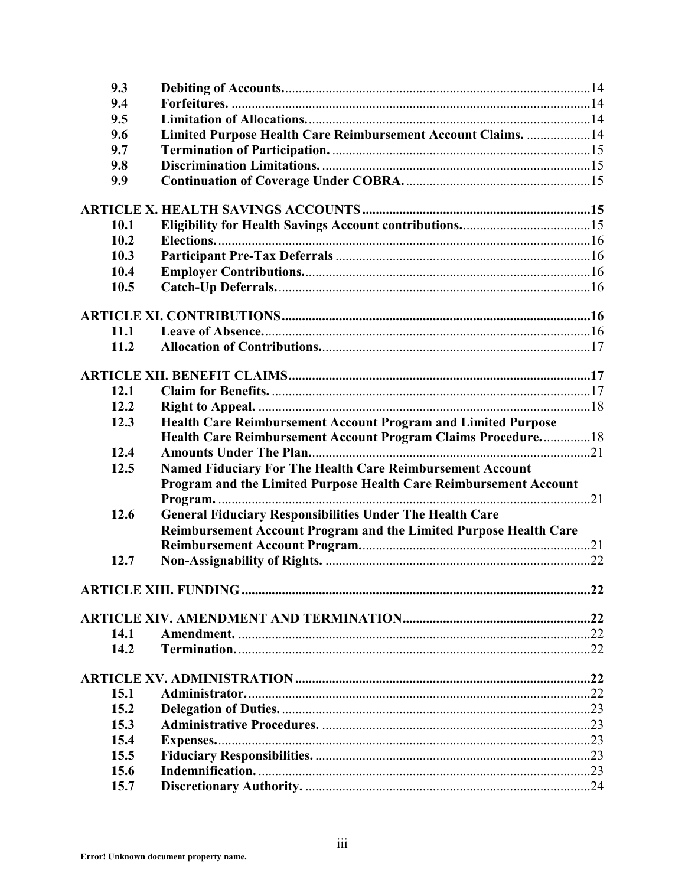| 9.3  |                                                                   |  |
|------|-------------------------------------------------------------------|--|
| 9.4  |                                                                   |  |
| 9.5  |                                                                   |  |
| 9.6  | Limited Purpose Health Care Reimbursement Account Claims. 14      |  |
| 9.7  |                                                                   |  |
| 9.8  |                                                                   |  |
| 9.9  |                                                                   |  |
|      |                                                                   |  |
|      |                                                                   |  |
| 10.1 |                                                                   |  |
| 10.2 |                                                                   |  |
| 10.3 |                                                                   |  |
| 10.4 |                                                                   |  |
| 10.5 |                                                                   |  |
|      |                                                                   |  |
|      |                                                                   |  |
| 11.1 |                                                                   |  |
| 11.2 |                                                                   |  |
|      |                                                                   |  |
| 12.1 |                                                                   |  |
| 12.2 |                                                                   |  |
| 12.3 | Health Care Reimbursement Account Program and Limited Purpose     |  |
|      | Health Care Reimbursement Account Program Claims Procedure18      |  |
| 12.4 |                                                                   |  |
| 12.5 | Named Fiduciary For The Health Care Reimbursement Account         |  |
|      | Program and the Limited Purpose Health Care Reimbursement Account |  |
|      |                                                                   |  |
| 12.6 | <b>General Fiduciary Responsibilities Under The Health Care</b>   |  |
|      | Reimbursement Account Program and the Limited Purpose Health Care |  |
|      |                                                                   |  |
| 12.7 |                                                                   |  |
|      |                                                                   |  |
|      |                                                                   |  |
|      |                                                                   |  |
| 14.1 |                                                                   |  |
| 14.2 |                                                                   |  |
|      |                                                                   |  |
|      |                                                                   |  |
| 15.1 |                                                                   |  |
| 15.2 |                                                                   |  |
| 15.3 |                                                                   |  |
| 15.4 |                                                                   |  |
| 15.5 |                                                                   |  |
| 15.6 |                                                                   |  |
| 15.7 |                                                                   |  |
|      |                                                                   |  |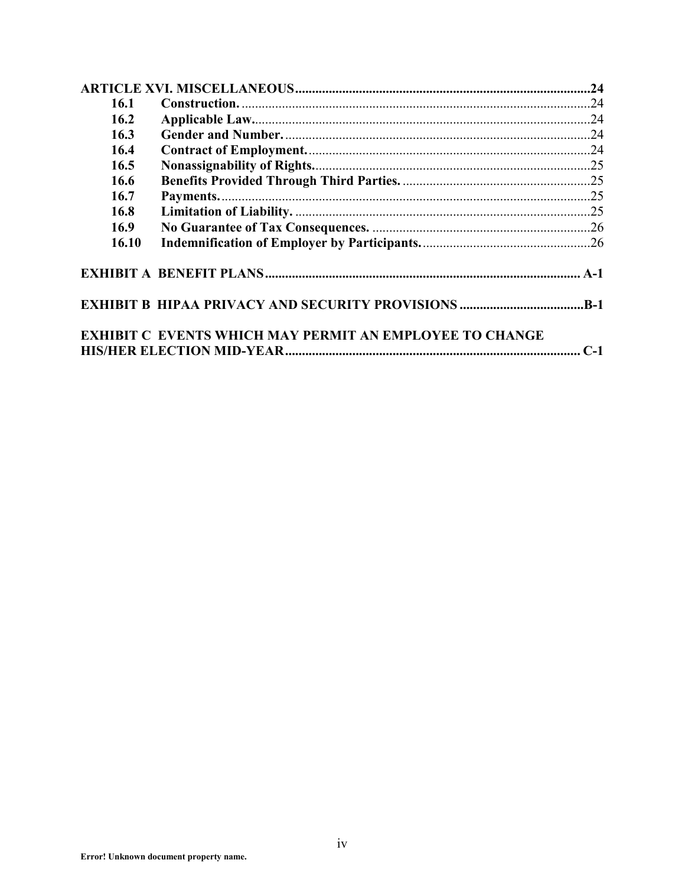| 16.1  |                                                                |  |
|-------|----------------------------------------------------------------|--|
| 16.2  |                                                                |  |
| 16.3  |                                                                |  |
| 16.4  |                                                                |  |
| 16.5  |                                                                |  |
| 16.6  |                                                                |  |
| 16.7  |                                                                |  |
| 16.8  |                                                                |  |
| 16.9  |                                                                |  |
| 16.10 |                                                                |  |
|       |                                                                |  |
|       | <b>EXHIBIT B HIPAA PRIVACY AND SECURITY PROVISIONS B-1</b>     |  |
|       | <b>EXHIBIT C EVENTS WHICH MAY PERMIT AN EMPLOYEE TO CHANGE</b> |  |
|       |                                                                |  |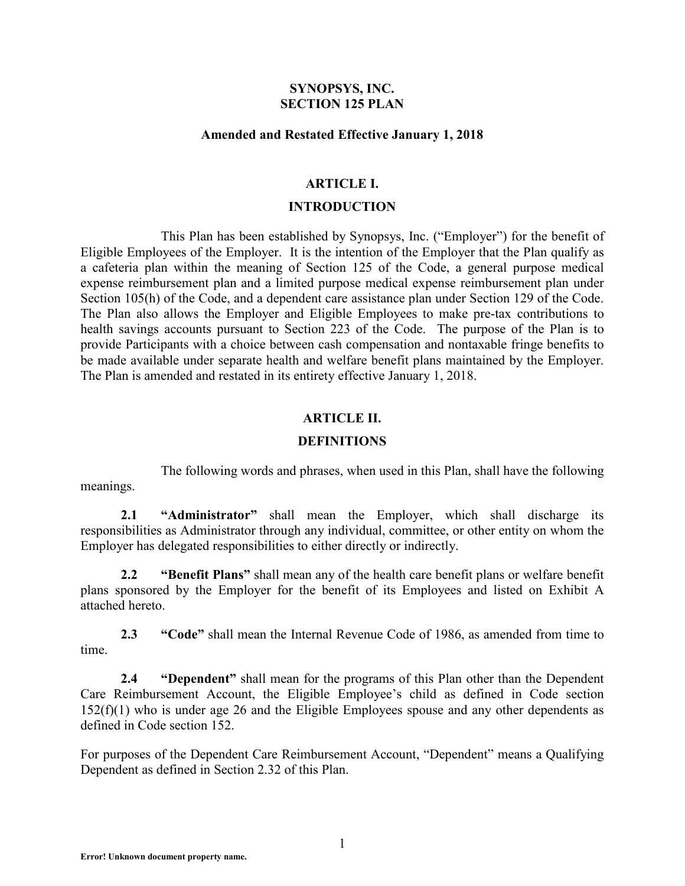#### **SYNOPSYS, INC. SECTION 125 PLAN**

#### **Amended and Restated Effective January 1, 2018**

#### **ARTICLE I.**

#### **INTRODUCTION**

This Plan has been established by Synopsys, Inc. ("Employer") for the benefit of Eligible Employees of the Employer. It is the intention of the Employer that the Plan qualify as a cafeteria plan within the meaning of Section 125 of the Code, a general purpose medical expense reimbursement plan and a limited purpose medical expense reimbursement plan under Section 105(h) of the Code, and a dependent care assistance plan under Section 129 of the Code. The Plan also allows the Employer and Eligible Employees to make pre-tax contributions to health savings accounts pursuant to Section 223 of the Code. The purpose of the Plan is to provide Participants with a choice between cash compensation and nontaxable fringe benefits to be made available under separate health and welfare benefit plans maintained by the Employer. The Plan is amended and restated in its entirety effective January 1, 2018.

### **ARTICLE II.**

### **DEFINITIONS**

The following words and phrases, when used in this Plan, shall have the following meanings.

**2.1 "Administrator"** shall mean the Employer, which shall discharge its responsibilities as Administrator through any individual, committee, or other entity on whom the Employer has delegated responsibilities to either directly or indirectly.

**2.2 "Benefit Plans"** shall mean any of the health care benefit plans or welfare benefit plans sponsored by the Employer for the benefit of its Employees and listed on Exhibit A attached hereto.

**2.3 "Code"** shall mean the Internal Revenue Code of 1986, as amended from time to time.

**2.4 "Dependent"** shall mean for the programs of this Plan other than the Dependent Care Reimbursement Account, the Eligible Employee's child as defined in Code section 152(f)(1) who is under age 26 and the Eligible Employees spouse and any other dependents as defined in Code section 152.

For purposes of the Dependent Care Reimbursement Account, "Dependent" means a Qualifying Dependent as defined in Section 2.32 of this Plan.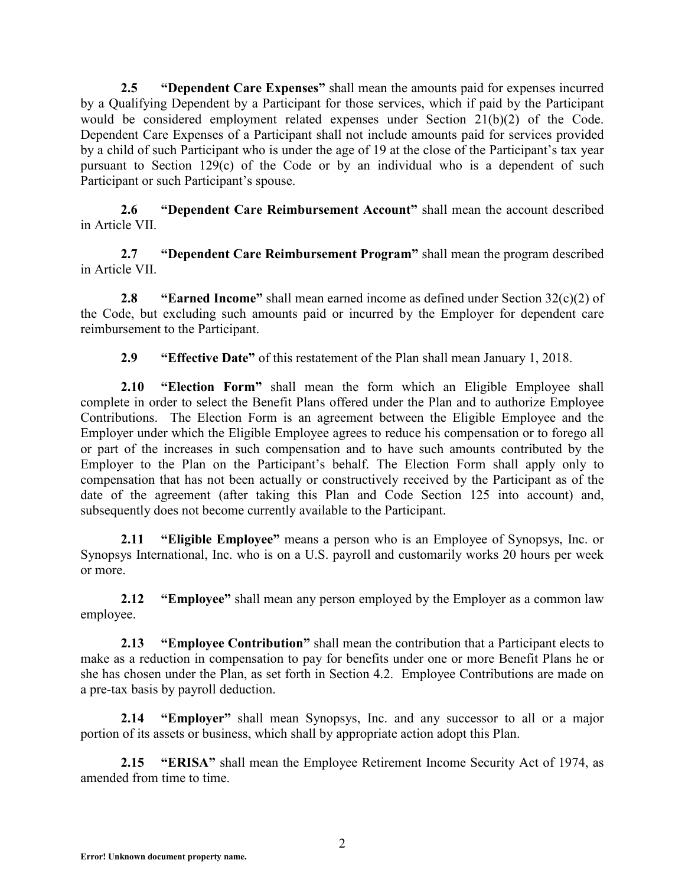**2.5 "Dependent Care Expenses"** shall mean the amounts paid for expenses incurred by a Qualifying Dependent by a Participant for those services, which if paid by the Participant would be considered employment related expenses under Section 21(b)(2) of the Code. Dependent Care Expenses of a Participant shall not include amounts paid for services provided by a child of such Participant who is under the age of 19 at the close of the Participant's tax year pursuant to Section 129(c) of the Code or by an individual who is a dependent of such Participant or such Participant's spouse.

**2.6 "Dependent Care Reimbursement Account"** shall mean the account described in Article VII.

**2.7 "Dependent Care Reimbursement Program"** shall mean the program described in Article VII.

**2.8 "Earned Income"** shall mean earned income as defined under Section 32(c)(2) of the Code, but excluding such amounts paid or incurred by the Employer for dependent care reimbursement to the Participant.

**2.9 "Effective Date"** of this restatement of the Plan shall mean January 1, 2018.

**2.10 "Election Form"** shall mean the form which an Eligible Employee shall complete in order to select the Benefit Plans offered under the Plan and to authorize Employee Contributions. The Election Form is an agreement between the Eligible Employee and the Employer under which the Eligible Employee agrees to reduce his compensation or to forego all or part of the increases in such compensation and to have such amounts contributed by the Employer to the Plan on the Participant's behalf. The Election Form shall apply only to compensation that has not been actually or constructively received by the Participant as of the date of the agreement (after taking this Plan and Code Section 125 into account) and, subsequently does not become currently available to the Participant.

**2.11 "Eligible Employee"** means a person who is an Employee of Synopsys, Inc. or Synopsys International, Inc. who is on a U.S. payroll and customarily works 20 hours per week or more.

**2.12 "Employee"** shall mean any person employed by the Employer as a common law employee.

**2.13 "Employee Contribution"** shall mean the contribution that a Participant elects to make as a reduction in compensation to pay for benefits under one or more Benefit Plans he or she has chosen under the Plan, as set forth in Section 4.2. Employee Contributions are made on a pre-tax basis by payroll deduction.

**2.14 "Employer"** shall mean Synopsys, Inc. and any successor to all or a major portion of its assets or business, which shall by appropriate action adopt this Plan.

**2.15 "ERISA"** shall mean the Employee Retirement Income Security Act of 1974, as amended from time to time.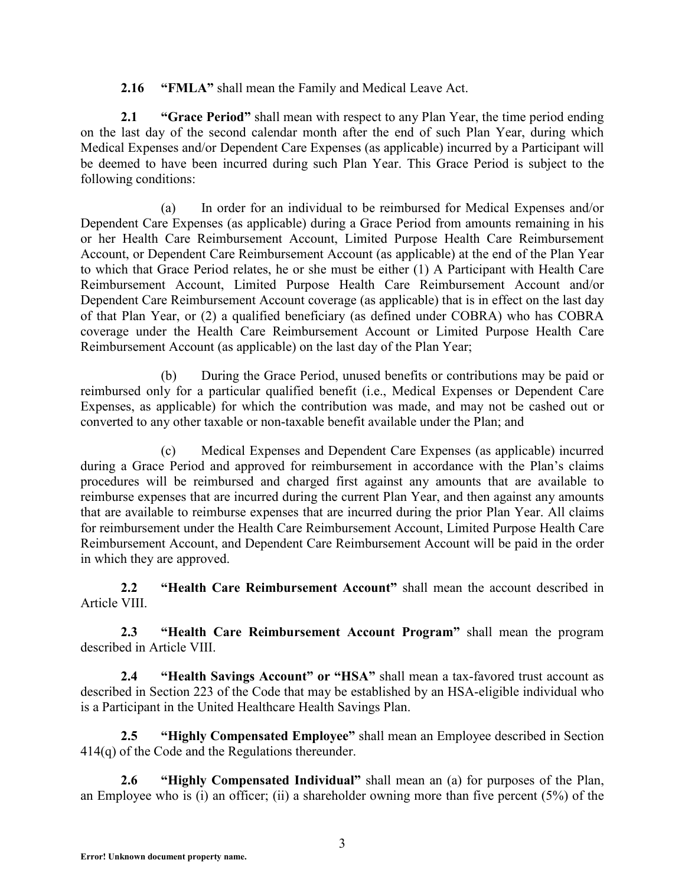**2.16 "FMLA"** shall mean the Family and Medical Leave Act.

**2.1 "Grace Period"** shall mean with respect to any Plan Year, the time period ending on the last day of the second calendar month after the end of such Plan Year, during which Medical Expenses and/or Dependent Care Expenses (as applicable) incurred by a Participant will be deemed to have been incurred during such Plan Year. This Grace Period is subject to the following conditions:

(a) In order for an individual to be reimbursed for Medical Expenses and/or Dependent Care Expenses (as applicable) during a Grace Period from amounts remaining in his or her Health Care Reimbursement Account, Limited Purpose Health Care Reimbursement Account, or Dependent Care Reimbursement Account (as applicable) at the end of the Plan Year to which that Grace Period relates, he or she must be either (1) A Participant with Health Care Reimbursement Account, Limited Purpose Health Care Reimbursement Account and/or Dependent Care Reimbursement Account coverage (as applicable) that is in effect on the last day of that Plan Year, or (2) a qualified beneficiary (as defined under COBRA) who has COBRA coverage under the Health Care Reimbursement Account or Limited Purpose Health Care Reimbursement Account (as applicable) on the last day of the Plan Year;

(b) During the Grace Period, unused benefits or contributions may be paid or reimbursed only for a particular qualified benefit (i.e., Medical Expenses or Dependent Care Expenses, as applicable) for which the contribution was made, and may not be cashed out or converted to any other taxable or non-taxable benefit available under the Plan; and

(c) Medical Expenses and Dependent Care Expenses (as applicable) incurred during a Grace Period and approved for reimbursement in accordance with the Plan's claims procedures will be reimbursed and charged first against any amounts that are available to reimburse expenses that are incurred during the current Plan Year, and then against any amounts that are available to reimburse expenses that are incurred during the prior Plan Year. All claims for reimbursement under the Health Care Reimbursement Account, Limited Purpose Health Care Reimbursement Account, and Dependent Care Reimbursement Account will be paid in the order in which they are approved.

**2.2 "Health Care Reimbursement Account"** shall mean the account described in Article VIII.

**2.3 "Health Care Reimbursement Account Program"** shall mean the program described in Article VIII.

**2.4 "Health Savings Account" or "HSA"** shall mean a tax-favored trust account as described in Section 223 of the Code that may be established by an HSA-eligible individual who is a Participant in the United Healthcare Health Savings Plan.

**2.5 "Highly Compensated Employee"** shall mean an Employee described in Section 414(q) of the Code and the Regulations thereunder.

**2.6 "Highly Compensated Individual"** shall mean an (a) for purposes of the Plan, an Employee who is (i) an officer; (ii) a shareholder owning more than five percent  $(5\%)$  of the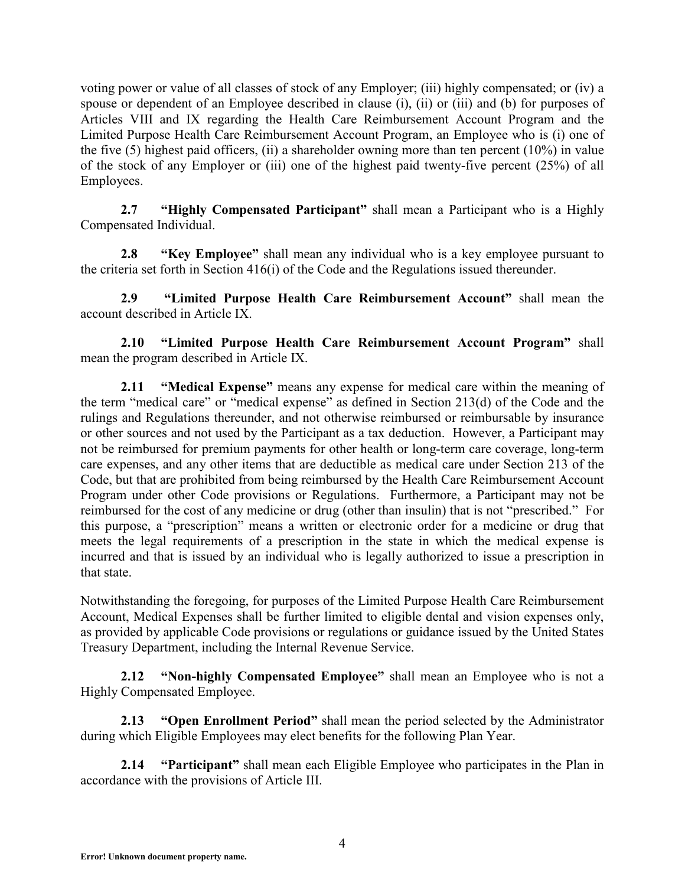voting power or value of all classes of stock of any Employer; (iii) highly compensated; or (iv) a spouse or dependent of an Employee described in clause (i), (ii) or (iii) and (b) for purposes of Articles VIII and IX regarding the Health Care Reimbursement Account Program and the Limited Purpose Health Care Reimbursement Account Program, an Employee who is (i) one of the five  $(5)$  highest paid officers,  $(ii)$  a shareholder owning more than ten percent  $(10\%)$  in value of the stock of any Employer or (iii) one of the highest paid twenty-five percent (25%) of all Employees.

**2.7 "Highly Compensated Participant"** shall mean a Participant who is a Highly Compensated Individual.

**2.8 "Key Employee"** shall mean any individual who is a key employee pursuant to the criteria set forth in Section 416(i) of the Code and the Regulations issued thereunder.

**2.9 "Limited Purpose Health Care Reimbursement Account"** shall mean the account described in Article IX.

**2.10 "Limited Purpose Health Care Reimbursement Account Program"** shall mean the program described in Article IX.

**2.11 "Medical Expense"** means any expense for medical care within the meaning of the term "medical care" or "medical expense" as defined in Section 213(d) of the Code and the rulings and Regulations thereunder, and not otherwise reimbursed or reimbursable by insurance or other sources and not used by the Participant as a tax deduction. However, a Participant may not be reimbursed for premium payments for other health or long-term care coverage, long-term care expenses, and any other items that are deductible as medical care under Section 213 of the Code, but that are prohibited from being reimbursed by the Health Care Reimbursement Account Program under other Code provisions or Regulations. Furthermore, a Participant may not be reimbursed for the cost of any medicine or drug (other than insulin) that is not "prescribed." For this purpose, a "prescription" means a written or electronic order for a medicine or drug that meets the legal requirements of a prescription in the state in which the medical expense is incurred and that is issued by an individual who is legally authorized to issue a prescription in that state.

Notwithstanding the foregoing, for purposes of the Limited Purpose Health Care Reimbursement Account, Medical Expenses shall be further limited to eligible dental and vision expenses only, as provided by applicable Code provisions or regulations or guidance issued by the United States Treasury Department, including the Internal Revenue Service.

**2.12 "Non-highly Compensated Employee"** shall mean an Employee who is not a Highly Compensated Employee.

**2.13 "Open Enrollment Period"** shall mean the period selected by the Administrator during which Eligible Employees may elect benefits for the following Plan Year.

**2.14 "Participant"** shall mean each Eligible Employee who participates in the Plan in accordance with the provisions of Article III.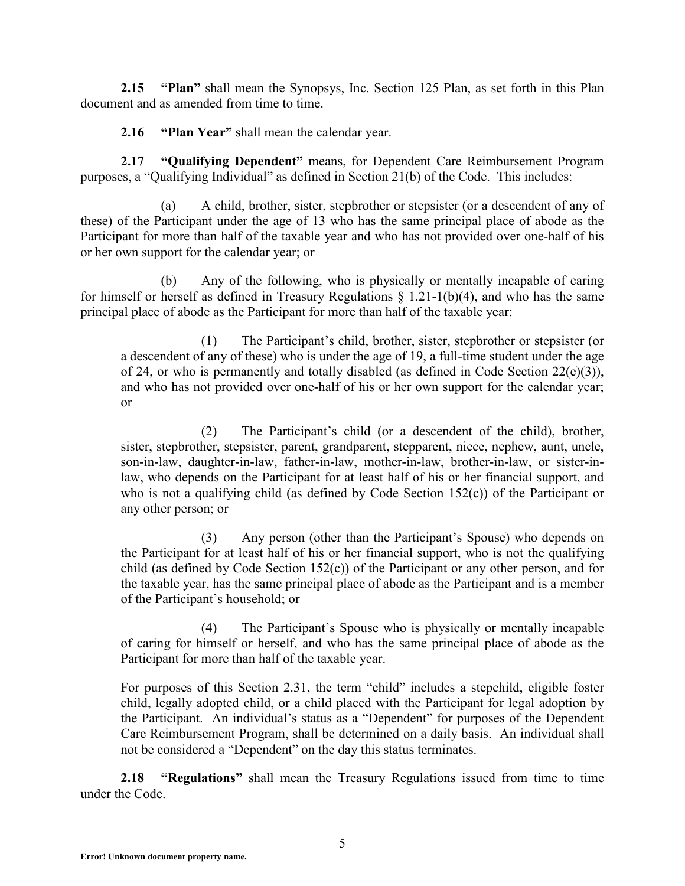**2.15 "Plan"** shall mean the Synopsys, Inc. Section 125 Plan, as set forth in this Plan document and as amended from time to time.

**2.16 "Plan Year"** shall mean the calendar year.

**2.17 "Qualifying Dependent"** means, for Dependent Care Reimbursement Program purposes, a "Qualifying Individual" as defined in Section 21(b) of the Code. This includes:

(a) A child, brother, sister, stepbrother or stepsister (or a descendent of any of these) of the Participant under the age of 13 who has the same principal place of abode as the Participant for more than half of the taxable year and who has not provided over one-half of his or her own support for the calendar year; or

(b) Any of the following, who is physically or mentally incapable of caring for himself or herself as defined in Treasury Regulations  $\S$  1.21-1(b)(4), and who has the same principal place of abode as the Participant for more than half of the taxable year:

(1) The Participant's child, brother, sister, stepbrother or stepsister (or a descendent of any of these) who is under the age of 19, a full-time student under the age of 24, or who is permanently and totally disabled (as defined in Code Section  $22(e)(3)$ ), and who has not provided over one-half of his or her own support for the calendar year; or

(2) The Participant's child (or a descendent of the child), brother, sister, stepbrother, stepsister, parent, grandparent, stepparent, niece, nephew, aunt, uncle, son-in-law, daughter-in-law, father-in-law, mother-in-law, brother-in-law, or sister-inlaw, who depends on the Participant for at least half of his or her financial support, and who is not a qualifying child (as defined by Code Section 152(c)) of the Participant or any other person; or

(3) Any person (other than the Participant's Spouse) who depends on the Participant for at least half of his or her financial support, who is not the qualifying child (as defined by Code Section 152(c)) of the Participant or any other person, and for the taxable year, has the same principal place of abode as the Participant and is a member of the Participant's household; or

(4) The Participant's Spouse who is physically or mentally incapable of caring for himself or herself, and who has the same principal place of abode as the Participant for more than half of the taxable year.

For purposes of this Section 2.31, the term "child" includes a stepchild, eligible foster child, legally adopted child, or a child placed with the Participant for legal adoption by the Participant. An individual's status as a "Dependent" for purposes of the Dependent Care Reimbursement Program, shall be determined on a daily basis. An individual shall not be considered a "Dependent" on the day this status terminates.

**2.18 "Regulations"** shall mean the Treasury Regulations issued from time to time under the Code.

**Error! Unknown document property name.**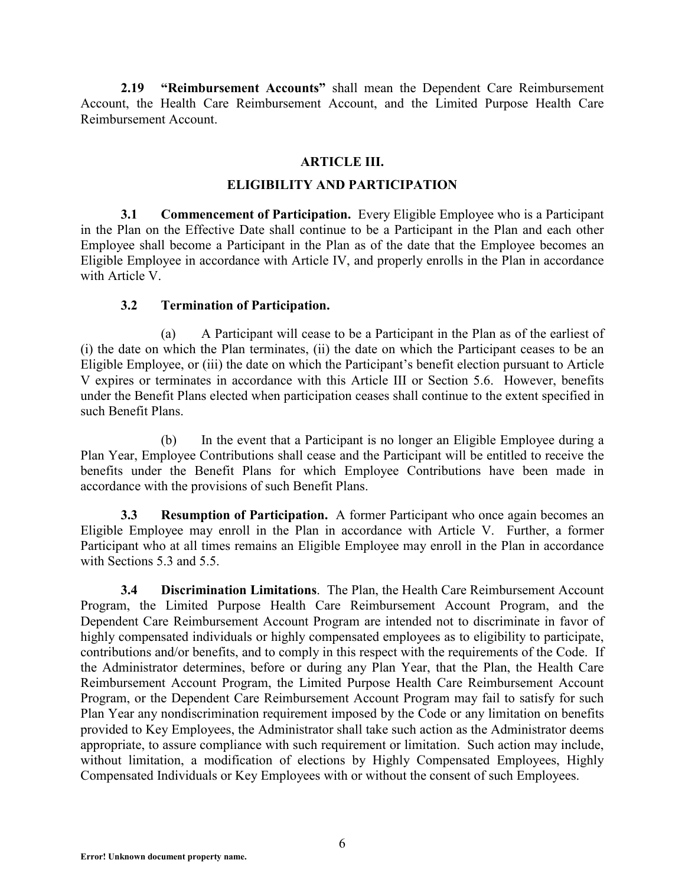**2.19 "Reimbursement Accounts"** shall mean the Dependent Care Reimbursement Account, the Health Care Reimbursement Account, and the Limited Purpose Health Care Reimbursement Account.

### **ARTICLE III.**

## **ELIGIBILITY AND PARTICIPATION**

**3.1 Commencement of Participation.** Every Eligible Employee who is a Participant in the Plan on the Effective Date shall continue to be a Participant in the Plan and each other Employee shall become a Participant in the Plan as of the date that the Employee becomes an Eligible Employee in accordance with Article IV, and properly enrolls in the Plan in accordance with Article V.

# **3.2 Termination of Participation.**

(a) A Participant will cease to be a Participant in the Plan as of the earliest of (i) the date on which the Plan terminates, (ii) the date on which the Participant ceases to be an Eligible Employee, or (iii) the date on which the Participant's benefit election pursuant to Article V expires or terminates in accordance with this Article III or Section 5.6. However, benefits under the Benefit Plans elected when participation ceases shall continue to the extent specified in such Benefit Plans.

(b) In the event that a Participant is no longer an Eligible Employee during a Plan Year, Employee Contributions shall cease and the Participant will be entitled to receive the benefits under the Benefit Plans for which Employee Contributions have been made in accordance with the provisions of such Benefit Plans.

**3.3 Resumption of Participation.** A former Participant who once again becomes an Eligible Employee may enroll in the Plan in accordance with Article V. Further, a former Participant who at all times remains an Eligible Employee may enroll in the Plan in accordance with Sections 5.3 and 5.5.

**3.4 Discrimination Limitations**. The Plan, the Health Care Reimbursement Account Program, the Limited Purpose Health Care Reimbursement Account Program, and the Dependent Care Reimbursement Account Program are intended not to discriminate in favor of highly compensated individuals or highly compensated employees as to eligibility to participate, contributions and/or benefits, and to comply in this respect with the requirements of the Code. If the Administrator determines, before or during any Plan Year, that the Plan, the Health Care Reimbursement Account Program, the Limited Purpose Health Care Reimbursement Account Program, or the Dependent Care Reimbursement Account Program may fail to satisfy for such Plan Year any nondiscrimination requirement imposed by the Code or any limitation on benefits provided to Key Employees, the Administrator shall take such action as the Administrator deems appropriate, to assure compliance with such requirement or limitation. Such action may include, without limitation, a modification of elections by Highly Compensated Employees, Highly Compensated Individuals or Key Employees with or without the consent of such Employees.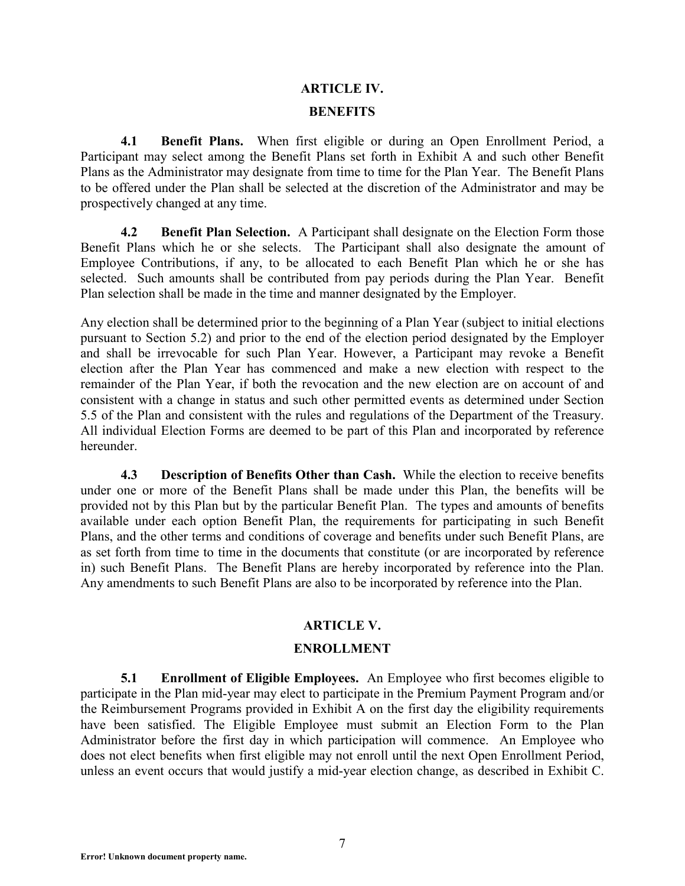# **ARTICLE IV. BENEFITS**

**4.1 Benefit Plans.** When first eligible or during an Open Enrollment Period, a Participant may select among the Benefit Plans set forth in Exhibit A and such other Benefit Plans as the Administrator may designate from time to time for the Plan Year. The Benefit Plans to be offered under the Plan shall be selected at the discretion of the Administrator and may be prospectively changed at any time.

**4.2 Benefit Plan Selection.** A Participant shall designate on the Election Form those Benefit Plans which he or she selects. The Participant shall also designate the amount of Employee Contributions, if any, to be allocated to each Benefit Plan which he or she has selected. Such amounts shall be contributed from pay periods during the Plan Year. Benefit Plan selection shall be made in the time and manner designated by the Employer.

Any election shall be determined prior to the beginning of a Plan Year (subject to initial elections pursuant to Section 5.2) and prior to the end of the election period designated by the Employer and shall be irrevocable for such Plan Year. However, a Participant may revoke a Benefit election after the Plan Year has commenced and make a new election with respect to the remainder of the Plan Year, if both the revocation and the new election are on account of and consistent with a change in status and such other permitted events as determined under Section 5.5 of the Plan and consistent with the rules and regulations of the Department of the Treasury. All individual Election Forms are deemed to be part of this Plan and incorporated by reference hereunder.

**4.3 Description of Benefits Other than Cash.** While the election to receive benefits under one or more of the Benefit Plans shall be made under this Plan, the benefits will be provided not by this Plan but by the particular Benefit Plan. The types and amounts of benefits available under each option Benefit Plan, the requirements for participating in such Benefit Plans, and the other terms and conditions of coverage and benefits under such Benefit Plans, are as set forth from time to time in the documents that constitute (or are incorporated by reference in) such Benefit Plans. The Benefit Plans are hereby incorporated by reference into the Plan. Any amendments to such Benefit Plans are also to be incorporated by reference into the Plan.

# **ARTICLE V.**

### **ENROLLMENT**

**5.1 Enrollment of Eligible Employees.** An Employee who first becomes eligible to participate in the Plan mid-year may elect to participate in the Premium Payment Program and/or the Reimbursement Programs provided in Exhibit A on the first day the eligibility requirements have been satisfied. The Eligible Employee must submit an Election Form to the Plan Administrator before the first day in which participation will commence. An Employee who does not elect benefits when first eligible may not enroll until the next Open Enrollment Period, unless an event occurs that would justify a mid-year election change, as described in Exhibit C.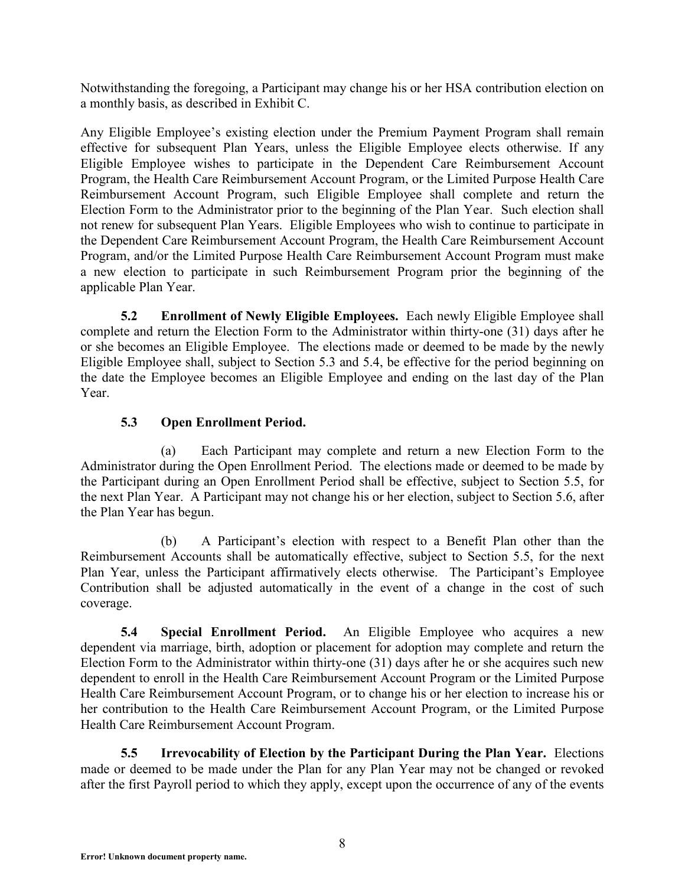Notwithstanding the foregoing, a Participant may change his or her HSA contribution election on a monthly basis, as described in Exhibit C.

Any Eligible Employee's existing election under the Premium Payment Program shall remain effective for subsequent Plan Years, unless the Eligible Employee elects otherwise. If any Eligible Employee wishes to participate in the Dependent Care Reimbursement Account Program, the Health Care Reimbursement Account Program, or the Limited Purpose Health Care Reimbursement Account Program, such Eligible Employee shall complete and return the Election Form to the Administrator prior to the beginning of the Plan Year. Such election shall not renew for subsequent Plan Years. Eligible Employees who wish to continue to participate in the Dependent Care Reimbursement Account Program, the Health Care Reimbursement Account Program, and/or the Limited Purpose Health Care Reimbursement Account Program must make a new election to participate in such Reimbursement Program prior the beginning of the applicable Plan Year.

**5.2 Enrollment of Newly Eligible Employees.** Each newly Eligible Employee shall complete and return the Election Form to the Administrator within thirty-one (31) days after he or she becomes an Eligible Employee. The elections made or deemed to be made by the newly Eligible Employee shall, subject to Section 5.3 and 5.4, be effective for the period beginning on the date the Employee becomes an Eligible Employee and ending on the last day of the Plan Year.

# **5.3 Open Enrollment Period.**

(a) Each Participant may complete and return a new Election Form to the Administrator during the Open Enrollment Period. The elections made or deemed to be made by the Participant during an Open Enrollment Period shall be effective, subject to Section 5.5, for the next Plan Year. A Participant may not change his or her election, subject to Section 5.6, after the Plan Year has begun.

(b) A Participant's election with respect to a Benefit Plan other than the Reimbursement Accounts shall be automatically effective, subject to Section 5.5, for the next Plan Year, unless the Participant affirmatively elects otherwise. The Participant's Employee Contribution shall be adjusted automatically in the event of a change in the cost of such coverage.

**5.4 Special Enrollment Period.** An Eligible Employee who acquires a new dependent via marriage, birth, adoption or placement for adoption may complete and return the Election Form to the Administrator within thirty-one (31) days after he or she acquires such new dependent to enroll in the Health Care Reimbursement Account Program or the Limited Purpose Health Care Reimbursement Account Program, or to change his or her election to increase his or her contribution to the Health Care Reimbursement Account Program, or the Limited Purpose Health Care Reimbursement Account Program.

**5.5 Irrevocability of Election by the Participant During the Plan Year.** Elections made or deemed to be made under the Plan for any Plan Year may not be changed or revoked after the first Payroll period to which they apply, except upon the occurrence of any of the events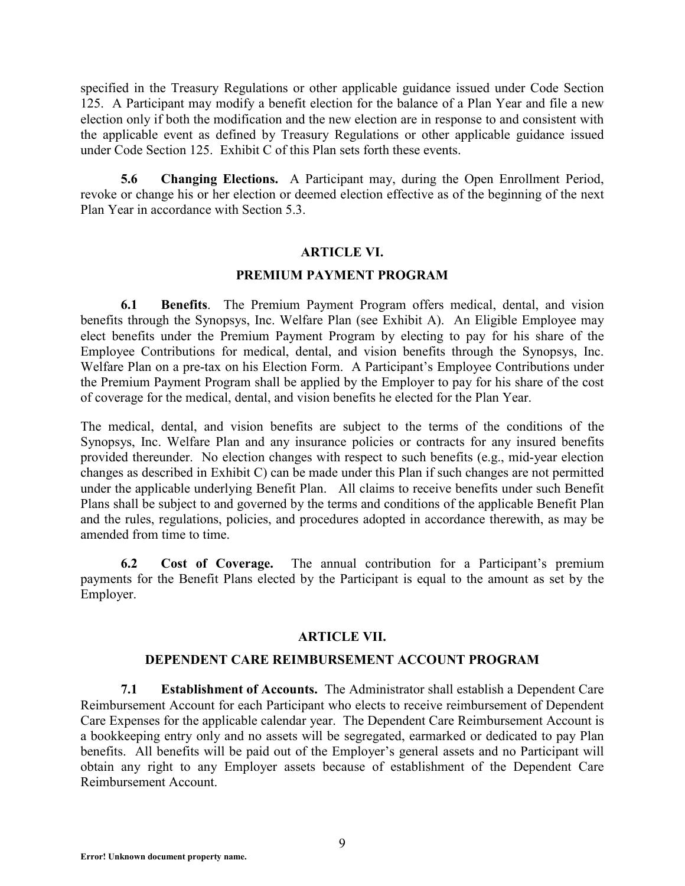specified in the Treasury Regulations or other applicable guidance issued under Code Section 125. A Participant may modify a benefit election for the balance of a Plan Year and file a new election only if both the modification and the new election are in response to and consistent with the applicable event as defined by Treasury Regulations or other applicable guidance issued under Code Section 125. Exhibit C of this Plan sets forth these events.

**5.6 Changing Elections.** A Participant may, during the Open Enrollment Period, revoke or change his or her election or deemed election effective as of the beginning of the next Plan Year in accordance with Section 5.3.

### **ARTICLE VI.**

### **PREMIUM PAYMENT PROGRAM**

**6.1 Benefits**. The Premium Payment Program offers medical, dental, and vision benefits through the Synopsys, Inc. Welfare Plan (see Exhibit A). An Eligible Employee may elect benefits under the Premium Payment Program by electing to pay for his share of the Employee Contributions for medical, dental, and vision benefits through the Synopsys, Inc. Welfare Plan on a pre-tax on his Election Form. A Participant's Employee Contributions under the Premium Payment Program shall be applied by the Employer to pay for his share of the cost of coverage for the medical, dental, and vision benefits he elected for the Plan Year.

The medical, dental, and vision benefits are subject to the terms of the conditions of the Synopsys, Inc. Welfare Plan and any insurance policies or contracts for any insured benefits provided thereunder. No election changes with respect to such benefits (e.g., mid-year election changes as described in Exhibit C) can be made under this Plan if such changes are not permitted under the applicable underlying Benefit Plan. All claims to receive benefits under such Benefit Plans shall be subject to and governed by the terms and conditions of the applicable Benefit Plan and the rules, regulations, policies, and procedures adopted in accordance therewith, as may be amended from time to time.

**6.2 Cost of Coverage.** The annual contribution for a Participant's premium payments for the Benefit Plans elected by the Participant is equal to the amount as set by the Employer.

# **ARTICLE VII.**

### **DEPENDENT CARE REIMBURSEMENT ACCOUNT PROGRAM**

**7.1 Establishment of Accounts.** The Administrator shall establish a Dependent Care Reimbursement Account for each Participant who elects to receive reimbursement of Dependent Care Expenses for the applicable calendar year. The Dependent Care Reimbursement Account is a bookkeeping entry only and no assets will be segregated, earmarked or dedicated to pay Plan benefits. All benefits will be paid out of the Employer's general assets and no Participant will obtain any right to any Employer assets because of establishment of the Dependent Care Reimbursement Account.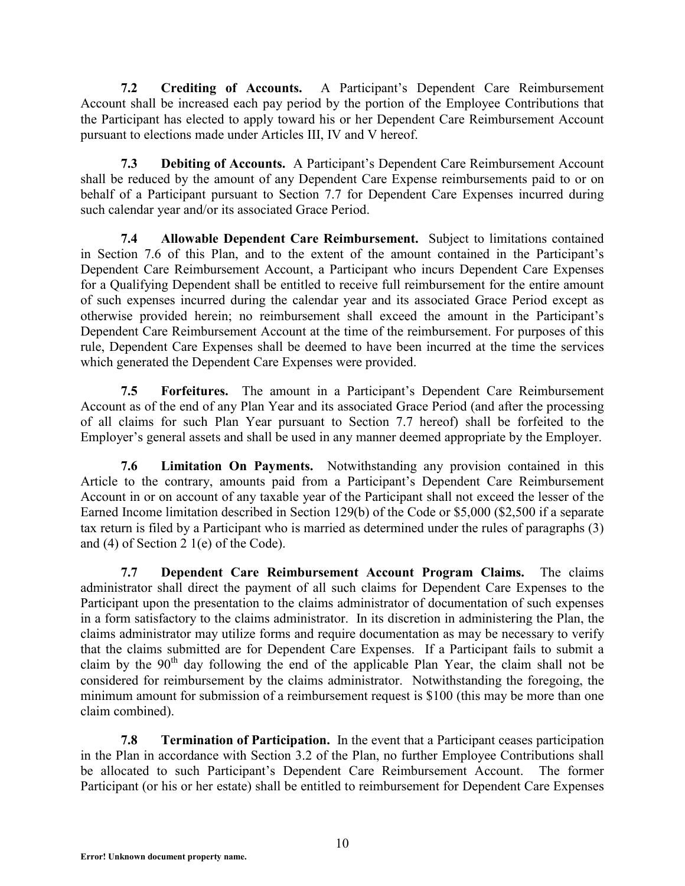**7.2 Crediting of Accounts.** A Participant's Dependent Care Reimbursement Account shall be increased each pay period by the portion of the Employee Contributions that the Participant has elected to apply toward his or her Dependent Care Reimbursement Account pursuant to elections made under Articles III, IV and V hereof.

**7.3 Debiting of Accounts.** A Participant's Dependent Care Reimbursement Account shall be reduced by the amount of any Dependent Care Expense reimbursements paid to or on behalf of a Participant pursuant to Section 7.7 for Dependent Care Expenses incurred during such calendar year and/or its associated Grace Period.

**7.4 Allowable Dependent Care Reimbursement.** Subject to limitations contained in Section 7.6 of this Plan, and to the extent of the amount contained in the Participant's Dependent Care Reimbursement Account, a Participant who incurs Dependent Care Expenses for a Qualifying Dependent shall be entitled to receive full reimbursement for the entire amount of such expenses incurred during the calendar year and its associated Grace Period except as otherwise provided herein; no reimbursement shall exceed the amount in the Participant's Dependent Care Reimbursement Account at the time of the reimbursement. For purposes of this rule, Dependent Care Expenses shall be deemed to have been incurred at the time the services which generated the Dependent Care Expenses were provided.

**7.5 Forfeitures.** The amount in a Participant's Dependent Care Reimbursement Account as of the end of any Plan Year and its associated Grace Period (and after the processing of all claims for such Plan Year pursuant to Section 7.7 hereof) shall be forfeited to the Employer's general assets and shall be used in any manner deemed appropriate by the Employer.

**7.6 Limitation On Payments.** Notwithstanding any provision contained in this Article to the contrary, amounts paid from a Participant's Dependent Care Reimbursement Account in or on account of any taxable year of the Participant shall not exceed the lesser of the Earned Income limitation described in Section 129(b) of the Code or \$5,000 (\$2,500 if a separate tax return is filed by a Participant who is married as determined under the rules of paragraphs (3) and (4) of Section 2 1(e) of the Code).

**7.7 Dependent Care Reimbursement Account Program Claims.** The claims administrator shall direct the payment of all such claims for Dependent Care Expenses to the Participant upon the presentation to the claims administrator of documentation of such expenses in a form satisfactory to the claims administrator. In its discretion in administering the Plan, the claims administrator may utilize forms and require documentation as may be necessary to verify that the claims submitted are for Dependent Care Expenses. If a Participant fails to submit a claim by the  $90<sup>th</sup>$  day following the end of the applicable Plan Year, the claim shall not be considered for reimbursement by the claims administrator. Notwithstanding the foregoing, the minimum amount for submission of a reimbursement request is \$100 (this may be more than one claim combined).

**7.8 Termination of Participation.** In the event that a Participant ceases participation in the Plan in accordance with Section 3.2 of the Plan, no further Employee Contributions shall be allocated to such Participant's Dependent Care Reimbursement Account. The former Participant (or his or her estate) shall be entitled to reimbursement for Dependent Care Expenses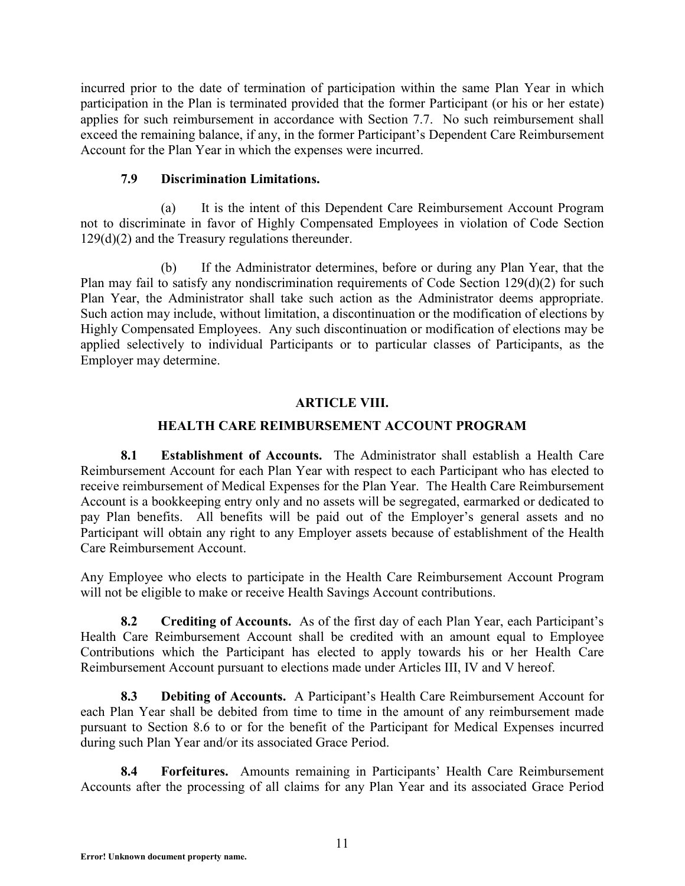incurred prior to the date of termination of participation within the same Plan Year in which participation in the Plan is terminated provided that the former Participant (or his or her estate) applies for such reimbursement in accordance with Section 7.7. No such reimbursement shall exceed the remaining balance, if any, in the former Participant's Dependent Care Reimbursement Account for the Plan Year in which the expenses were incurred.

# **7.9 Discrimination Limitations.**

(a) It is the intent of this Dependent Care Reimbursement Account Program not to discriminate in favor of Highly Compensated Employees in violation of Code Section 129(d)(2) and the Treasury regulations thereunder.

(b) If the Administrator determines, before or during any Plan Year, that the Plan may fail to satisfy any nondiscrimination requirements of Code Section 129(d)(2) for such Plan Year, the Administrator shall take such action as the Administrator deems appropriate. Such action may include, without limitation, a discontinuation or the modification of elections by Highly Compensated Employees. Any such discontinuation or modification of elections may be applied selectively to individual Participants or to particular classes of Participants, as the Employer may determine.

# **ARTICLE VIII.**

# **HEALTH CARE REIMBURSEMENT ACCOUNT PROGRAM**

**8.1 Establishment of Accounts.** The Administrator shall establish a Health Care Reimbursement Account for each Plan Year with respect to each Participant who has elected to receive reimbursement of Medical Expenses for the Plan Year. The Health Care Reimbursement Account is a bookkeeping entry only and no assets will be segregated, earmarked or dedicated to pay Plan benefits. All benefits will be paid out of the Employer's general assets and no Participant will obtain any right to any Employer assets because of establishment of the Health Care Reimbursement Account.

Any Employee who elects to participate in the Health Care Reimbursement Account Program will not be eligible to make or receive Health Savings Account contributions.

**8.2 Crediting of Accounts.** As of the first day of each Plan Year, each Participant's Health Care Reimbursement Account shall be credited with an amount equal to Employee Contributions which the Participant has elected to apply towards his or her Health Care Reimbursement Account pursuant to elections made under Articles III, IV and V hereof.

**8.3 Debiting of Accounts.** A Participant's Health Care Reimbursement Account for each Plan Year shall be debited from time to time in the amount of any reimbursement made pursuant to Section 8.6 to or for the benefit of the Participant for Medical Expenses incurred during such Plan Year and/or its associated Grace Period.

**8.4 Forfeitures.** Amounts remaining in Participants' Health Care Reimbursement Accounts after the processing of all claims for any Plan Year and its associated Grace Period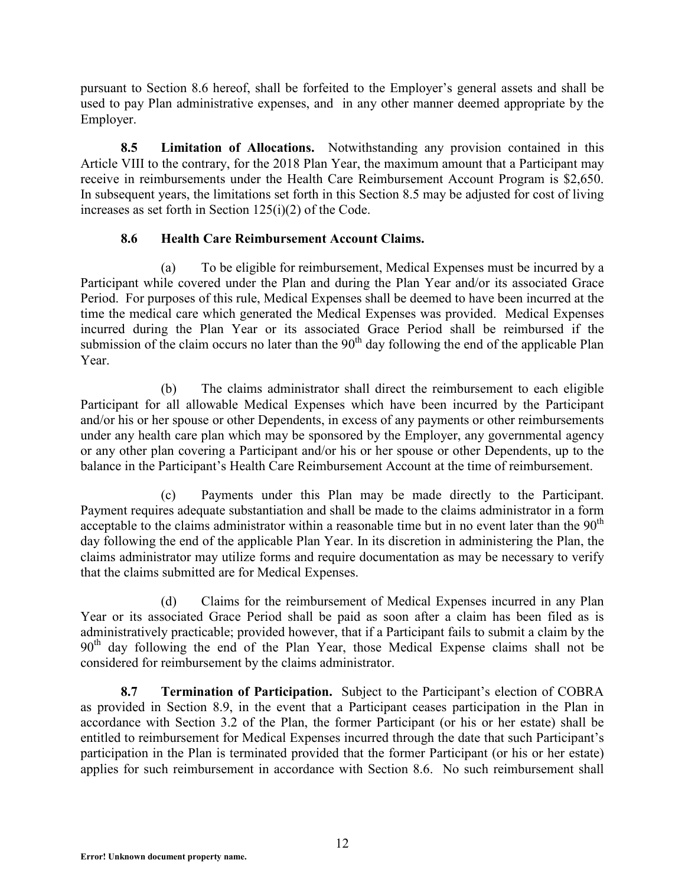pursuant to Section 8.6 hereof, shall be forfeited to the Employer's general assets and shall be used to pay Plan administrative expenses, and in any other manner deemed appropriate by the Employer.

**8.5 Limitation of Allocations.** Notwithstanding any provision contained in this Article VIII to the contrary, for the 2018 Plan Year, the maximum amount that a Participant may receive in reimbursements under the Health Care Reimbursement Account Program is \$2,650. In subsequent years, the limitations set forth in this Section 8.5 may be adjusted for cost of living increases as set forth in Section 125(i)(2) of the Code.

# **8.6 Health Care Reimbursement Account Claims.**

(a) To be eligible for reimbursement, Medical Expenses must be incurred by a Participant while covered under the Plan and during the Plan Year and/or its associated Grace Period. For purposes of this rule, Medical Expenses shall be deemed to have been incurred at the time the medical care which generated the Medical Expenses was provided. Medical Expenses incurred during the Plan Year or its associated Grace Period shall be reimbursed if the submission of the claim occurs no later than the  $90<sup>th</sup>$  day following the end of the applicable Plan Year.

(b) The claims administrator shall direct the reimbursement to each eligible Participant for all allowable Medical Expenses which have been incurred by the Participant and/or his or her spouse or other Dependents, in excess of any payments or other reimbursements under any health care plan which may be sponsored by the Employer, any governmental agency or any other plan covering a Participant and/or his or her spouse or other Dependents, up to the balance in the Participant's Health Care Reimbursement Account at the time of reimbursement.

(c) Payments under this Plan may be made directly to the Participant. Payment requires adequate substantiation and shall be made to the claims administrator in a form acceptable to the claims administrator within a reasonable time but in no event later than the  $90<sup>th</sup>$ day following the end of the applicable Plan Year. In its discretion in administering the Plan, the claims administrator may utilize forms and require documentation as may be necessary to verify that the claims submitted are for Medical Expenses.

(d) Claims for the reimbursement of Medical Expenses incurred in any Plan Year or its associated Grace Period shall be paid as soon after a claim has been filed as is administratively practicable; provided however, that if a Participant fails to submit a claim by the 90<sup>th</sup> day following the end of the Plan Year, those Medical Expense claims shall not be considered for reimbursement by the claims administrator.

**8.7 Termination of Participation.** Subject to the Participant's election of COBRA as provided in Section 8.9, in the event that a Participant ceases participation in the Plan in accordance with Section 3.2 of the Plan, the former Participant (or his or her estate) shall be entitled to reimbursement for Medical Expenses incurred through the date that such Participant's participation in the Plan is terminated provided that the former Participant (or his or her estate) applies for such reimbursement in accordance with Section 8.6. No such reimbursement shall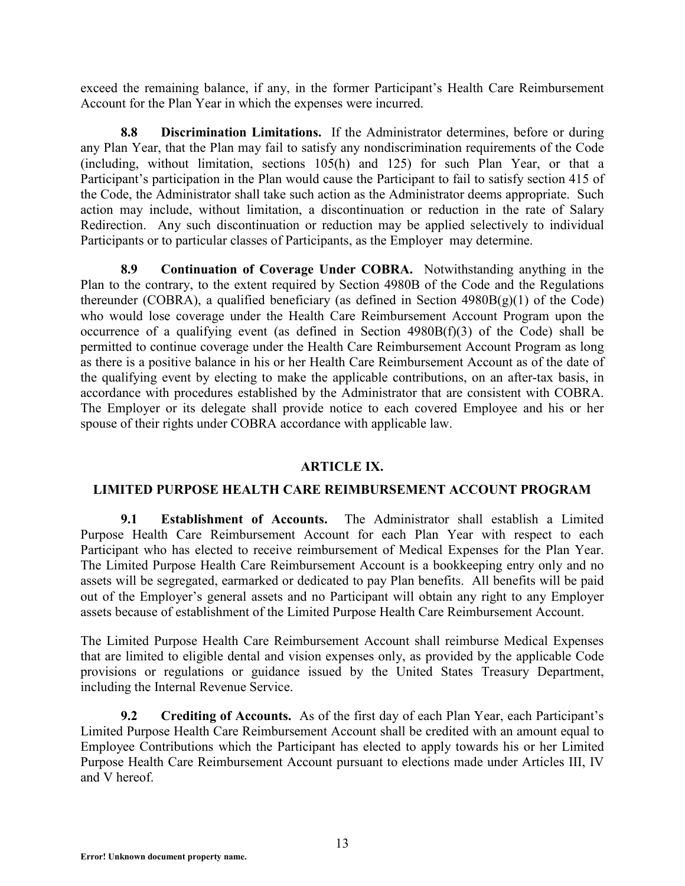exceed the remaining balance, if any, in the former Participant's Health Care Reimbursement Account for the Plan Year in which the expenses were incurred.

**8.8 Discrimination Limitations.** If the Administrator determines, before or during any Plan Year, that the Plan may fail to satisfy any nondiscrimination requirements of the Code (including, without limitation, sections 105(h) and 125) for such Plan Year, or that a Participant's participation in the Plan would cause the Participant to fail to satisfy section 415 of the Code, the Administrator shall take such action as the Administrator deems appropriate. Such action may include, without limitation, a discontinuation or reduction in the rate of Salary Redirection. Any such discontinuation or reduction may be applied selectively to individual Participants or to particular classes of Participants, as the Employer may determine.

**8.9 Continuation of Coverage Under COBRA.** Notwithstanding anything in the Plan to the contrary, to the extent required by Section 4980B of the Code and the Regulations thereunder (COBRA), a qualified beneficiary (as defined in Section 4980B(g)(1) of the Code) who would lose coverage under the Health Care Reimbursement Account Program upon the occurrence of a qualifying event (as defined in Section  $4980B(f)(3)$  of the Code) shall be permitted to continue coverage under the Health Care Reimbursement Account Program as long as there is a positive balance in his or her Health Care Reimbursement Account as of the date of the qualifying event by electing to make the applicable contributions, on an after-tax basis, in accordance with procedures established by the Administrator that are consistent with COBRA. The Employer or its delegate shall provide notice to each covered Employee and his or her spouse of their rights under COBRA accordance with applicable law.

# **ARTICLE IX.**

### **LIMITED PURPOSE HEALTH CARE REIMBURSEMENT ACCOUNT PROGRAM**

**9.1 Establishment of Accounts.** The Administrator shall establish a Limited Purpose Health Care Reimbursement Account for each Plan Year with respect to each Participant who has elected to receive reimbursement of Medical Expenses for the Plan Year. The Limited Purpose Health Care Reimbursement Account is a bookkeeping entry only and no assets will be segregated, earmarked or dedicated to pay Plan benefits. All benefits will be paid out of the Employer's general assets and no Participant will obtain any right to any Employer assets because of establishment of the Limited Purpose Health Care Reimbursement Account.

The Limited Purpose Health Care Reimbursement Account shall reimburse Medical Expenses that are limited to eligible dental and vision expenses only, as provided by the applicable Code provisions or regulations or guidance issued by the United States Treasury Department, including the Internal Revenue Service.

**9.2 Crediting of Accounts.** As of the first day of each Plan Year, each Participant's Limited Purpose Health Care Reimbursement Account shall be credited with an amount equal to Employee Contributions which the Participant has elected to apply towards his or her Limited Purpose Health Care Reimbursement Account pursuant to elections made under Articles III, IV and V hereof.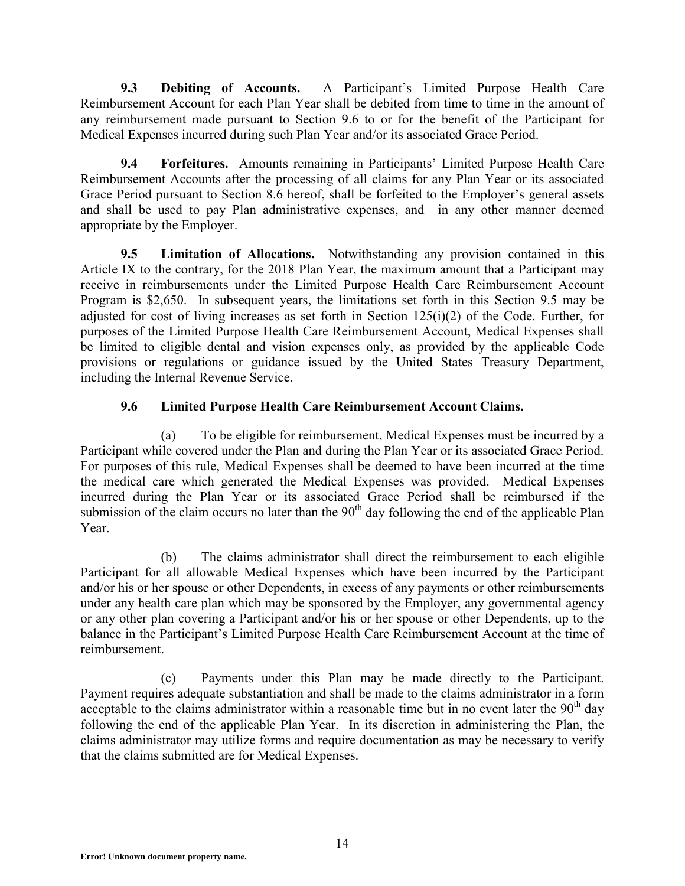**9.3 Debiting of Accounts.** A Participant's Limited Purpose Health Care Reimbursement Account for each Plan Year shall be debited from time to time in the amount of any reimbursement made pursuant to Section 9.6 to or for the benefit of the Participant for Medical Expenses incurred during such Plan Year and/or its associated Grace Period.

**9.4 Forfeitures.** Amounts remaining in Participants' Limited Purpose Health Care Reimbursement Accounts after the processing of all claims for any Plan Year or its associated Grace Period pursuant to Section 8.6 hereof, shall be forfeited to the Employer's general assets and shall be used to pay Plan administrative expenses, and in any other manner deemed appropriate by the Employer.

**9.5 Limitation of Allocations.** Notwithstanding any provision contained in this Article IX to the contrary, for the 2018 Plan Year, the maximum amount that a Participant may receive in reimbursements under the Limited Purpose Health Care Reimbursement Account Program is \$2,650. In subsequent years, the limitations set forth in this Section 9.5 may be adjusted for cost of living increases as set forth in Section  $125(i)(2)$  of the Code. Further, for purposes of the Limited Purpose Health Care Reimbursement Account, Medical Expenses shall be limited to eligible dental and vision expenses only, as provided by the applicable Code provisions or regulations or guidance issued by the United States Treasury Department, including the Internal Revenue Service.

# **9.6 Limited Purpose Health Care Reimbursement Account Claims.**

(a) To be eligible for reimbursement, Medical Expenses must be incurred by a Participant while covered under the Plan and during the Plan Year or its associated Grace Period. For purposes of this rule, Medical Expenses shall be deemed to have been incurred at the time the medical care which generated the Medical Expenses was provided. Medical Expenses incurred during the Plan Year or its associated Grace Period shall be reimbursed if the submission of the claim occurs no later than the  $90<sup>th</sup>$  day following the end of the applicable Plan Year.

(b) The claims administrator shall direct the reimbursement to each eligible Participant for all allowable Medical Expenses which have been incurred by the Participant and/or his or her spouse or other Dependents, in excess of any payments or other reimbursements under any health care plan which may be sponsored by the Employer, any governmental agency or any other plan covering a Participant and/or his or her spouse or other Dependents, up to the balance in the Participant's Limited Purpose Health Care Reimbursement Account at the time of reimbursement.

(c) Payments under this Plan may be made directly to the Participant. Payment requires adequate substantiation and shall be made to the claims administrator in a form acceptable to the claims administrator within a reasonable time but in no event later the  $90<sup>th</sup>$  day following the end of the applicable Plan Year. In its discretion in administering the Plan, the claims administrator may utilize forms and require documentation as may be necessary to verify that the claims submitted are for Medical Expenses.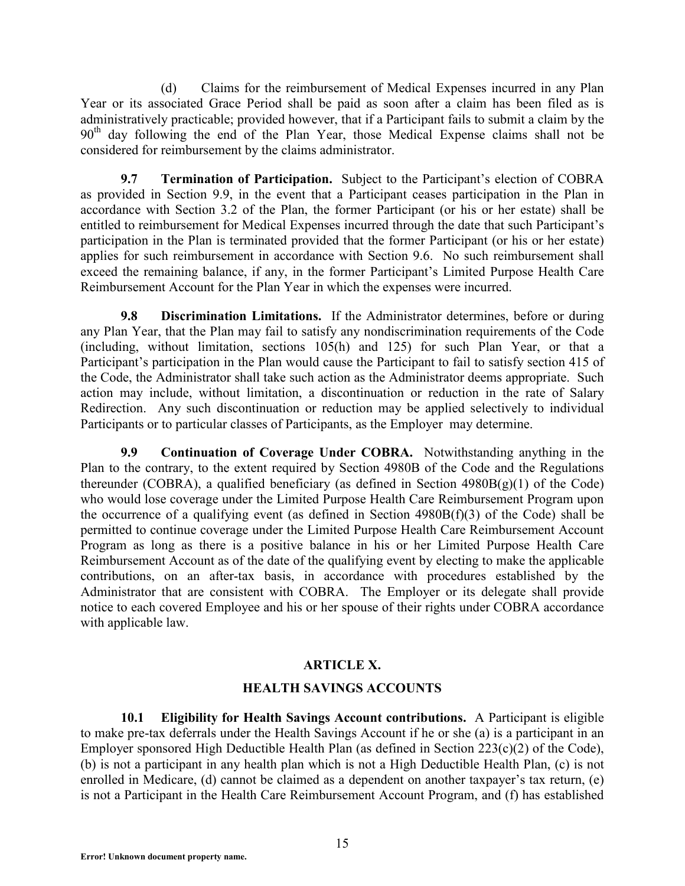(d) Claims for the reimbursement of Medical Expenses incurred in any Plan Year or its associated Grace Period shall be paid as soon after a claim has been filed as is administratively practicable; provided however, that if a Participant fails to submit a claim by the 90<sup>th</sup> day following the end of the Plan Year, those Medical Expense claims shall not be considered for reimbursement by the claims administrator.

**9.7 Termination of Participation.** Subject to the Participant's election of COBRA as provided in Section 9.9, in the event that a Participant ceases participation in the Plan in accordance with Section 3.2 of the Plan, the former Participant (or his or her estate) shall be entitled to reimbursement for Medical Expenses incurred through the date that such Participant's participation in the Plan is terminated provided that the former Participant (or his or her estate) applies for such reimbursement in accordance with Section 9.6. No such reimbursement shall exceed the remaining balance, if any, in the former Participant's Limited Purpose Health Care Reimbursement Account for the Plan Year in which the expenses were incurred.

**9.8 Discrimination Limitations.** If the Administrator determines, before or during any Plan Year, that the Plan may fail to satisfy any nondiscrimination requirements of the Code (including, without limitation, sections 105(h) and 125) for such Plan Year, or that a Participant's participation in the Plan would cause the Participant to fail to satisfy section 415 of the Code, the Administrator shall take such action as the Administrator deems appropriate. Such action may include, without limitation, a discontinuation or reduction in the rate of Salary Redirection. Any such discontinuation or reduction may be applied selectively to individual Participants or to particular classes of Participants, as the Employer may determine.

**9.9 Continuation of Coverage Under COBRA.** Notwithstanding anything in the Plan to the contrary, to the extent required by Section 4980B of the Code and the Regulations thereunder (COBRA), a qualified beneficiary (as defined in Section  $4980B(g)(1)$  of the Code) who would lose coverage under the Limited Purpose Health Care Reimbursement Program upon the occurrence of a qualifying event (as defined in Section 4980B(f)(3) of the Code) shall be permitted to continue coverage under the Limited Purpose Health Care Reimbursement Account Program as long as there is a positive balance in his or her Limited Purpose Health Care Reimbursement Account as of the date of the qualifying event by electing to make the applicable contributions, on an after-tax basis, in accordance with procedures established by the Administrator that are consistent with COBRA. The Employer or its delegate shall provide notice to each covered Employee and his or her spouse of their rights under COBRA accordance with applicable law.

# **ARTICLE X.**

# **HEALTH SAVINGS ACCOUNTS**

**10.1 Eligibility for Health Savings Account contributions.** A Participant is eligible to make pre-tax deferrals under the Health Savings Account if he or she (a) is a participant in an Employer sponsored High Deductible Health Plan (as defined in Section 223(c)(2) of the Code), (b) is not a participant in any health plan which is not a High Deductible Health Plan, (c) is not enrolled in Medicare, (d) cannot be claimed as a dependent on another taxpayer's tax return, (e) is not a Participant in the Health Care Reimbursement Account Program, and (f) has established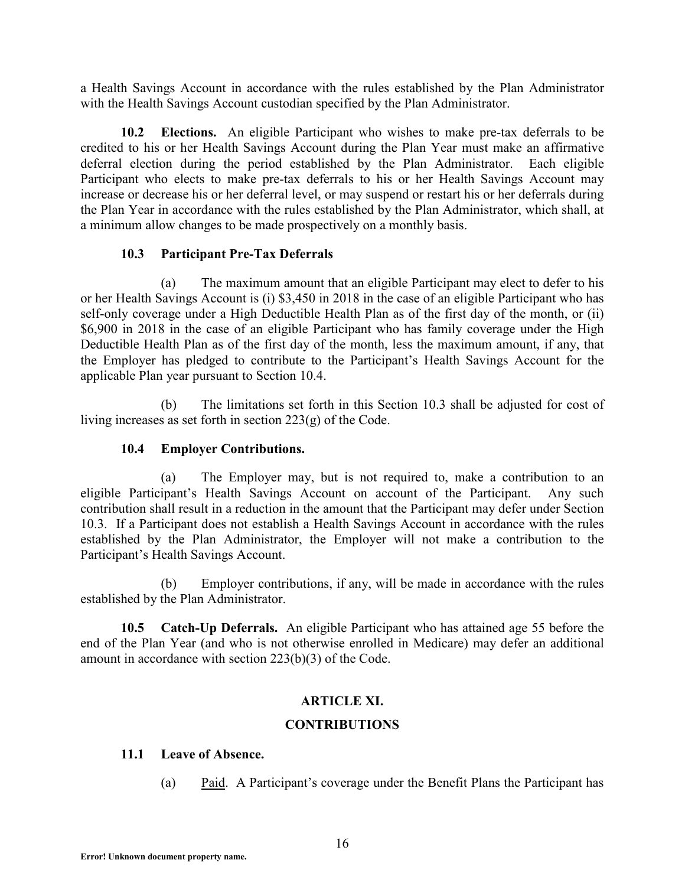a Health Savings Account in accordance with the rules established by the Plan Administrator with the Health Savings Account custodian specified by the Plan Administrator.

**10.2 Elections.** An eligible Participant who wishes to make pre-tax deferrals to be credited to his or her Health Savings Account during the Plan Year must make an affirmative deferral election during the period established by the Plan Administrator. Each eligible Participant who elects to make pre-tax deferrals to his or her Health Savings Account may increase or decrease his or her deferral level, or may suspend or restart his or her deferrals during the Plan Year in accordance with the rules established by the Plan Administrator, which shall, at a minimum allow changes to be made prospectively on a monthly basis.

### **10.3 Participant Pre-Tax Deferrals**

(a) The maximum amount that an eligible Participant may elect to defer to his or her Health Savings Account is (i) \$3,450 in 2018 in the case of an eligible Participant who has self-only coverage under a High Deductible Health Plan as of the first day of the month, or (ii) \$6,900 in 2018 in the case of an eligible Participant who has family coverage under the High Deductible Health Plan as of the first day of the month, less the maximum amount, if any, that the Employer has pledged to contribute to the Participant's Health Savings Account for the applicable Plan year pursuant to Section 10.4.

(b) The limitations set forth in this Section 10.3 shall be adjusted for cost of living increases as set forth in section 223(g) of the Code.

# **10.4 Employer Contributions.**

(a) The Employer may, but is not required to, make a contribution to an eligible Participant's Health Savings Account on account of the Participant. Any such contribution shall result in a reduction in the amount that the Participant may defer under Section 10.3. If a Participant does not establish a Health Savings Account in accordance with the rules established by the Plan Administrator, the Employer will not make a contribution to the Participant's Health Savings Account.

(b) Employer contributions, if any, will be made in accordance with the rules established by the Plan Administrator.

**10.5 Catch-Up Deferrals.** An eligible Participant who has attained age 55 before the end of the Plan Year (and who is not otherwise enrolled in Medicare) may defer an additional amount in accordance with section 223(b)(3) of the Code.

# **ARTICLE XI.**

### **CONTRIBUTIONS**

### **11.1 Leave of Absence.**

(a) Paid. A Participant's coverage under the Benefit Plans the Participant has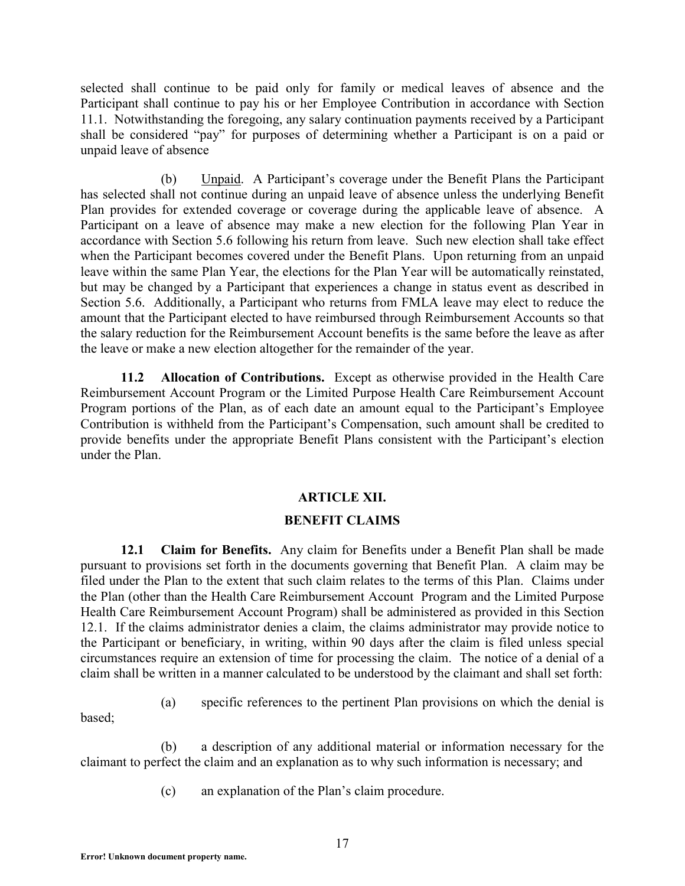selected shall continue to be paid only for family or medical leaves of absence and the Participant shall continue to pay his or her Employee Contribution in accordance with Section 11.1. Notwithstanding the foregoing, any salary continuation payments received by a Participant shall be considered "pay" for purposes of determining whether a Participant is on a paid or unpaid leave of absence

(b) Unpaid. A Participant's coverage under the Benefit Plans the Participant has selected shall not continue during an unpaid leave of absence unless the underlying Benefit Plan provides for extended coverage or coverage during the applicable leave of absence. A Participant on a leave of absence may make a new election for the following Plan Year in accordance with Section 5.6 following his return from leave. Such new election shall take effect when the Participant becomes covered under the Benefit Plans. Upon returning from an unpaid leave within the same Plan Year, the elections for the Plan Year will be automatically reinstated, but may be changed by a Participant that experiences a change in status event as described in Section 5.6. Additionally, a Participant who returns from FMLA leave may elect to reduce the amount that the Participant elected to have reimbursed through Reimbursement Accounts so that the salary reduction for the Reimbursement Account benefits is the same before the leave as after the leave or make a new election altogether for the remainder of the year.

**11.2 Allocation of Contributions.** Except as otherwise provided in the Health Care Reimbursement Account Program or the Limited Purpose Health Care Reimbursement Account Program portions of the Plan, as of each date an amount equal to the Participant's Employee Contribution is withheld from the Participant's Compensation, such amount shall be credited to provide benefits under the appropriate Benefit Plans consistent with the Participant's election under the Plan.

# **ARTICLE XII.**

### **BENEFIT CLAIMS**

**12.1 Claim for Benefits.** Any claim for Benefits under a Benefit Plan shall be made pursuant to provisions set forth in the documents governing that Benefit Plan. A claim may be filed under the Plan to the extent that such claim relates to the terms of this Plan. Claims under the Plan (other than the Health Care Reimbursement Account Program and the Limited Purpose Health Care Reimbursement Account Program) shall be administered as provided in this Section 12.1. If the claims administrator denies a claim, the claims administrator may provide notice to the Participant or beneficiary, in writing, within 90 days after the claim is filed unless special circumstances require an extension of time for processing the claim. The notice of a denial of a claim shall be written in a manner calculated to be understood by the claimant and shall set forth:

- based;
- (a) specific references to the pertinent Plan provisions on which the denial is

(b) a description of any additional material or information necessary for the claimant to perfect the claim and an explanation as to why such information is necessary; and

(c) an explanation of the Plan's claim procedure.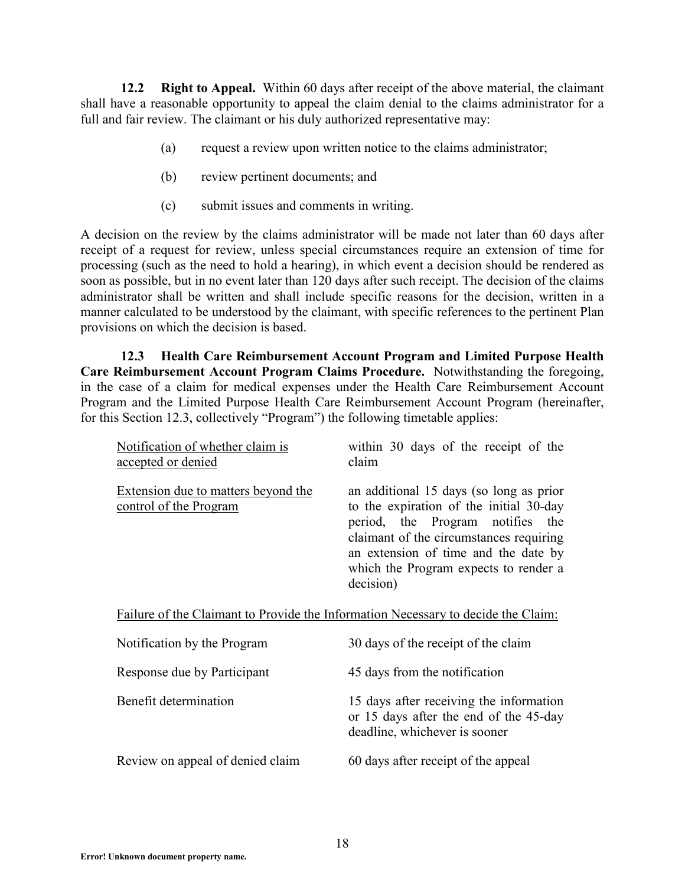**12.2 Right to Appeal.** Within 60 days after receipt of the above material, the claimant shall have a reasonable opportunity to appeal the claim denial to the claims administrator for a full and fair review. The claimant or his duly authorized representative may:

- (a) request a review upon written notice to the claims administrator;
- (b) review pertinent documents; and
- (c) submit issues and comments in writing.

A decision on the review by the claims administrator will be made not later than 60 days after receipt of a request for review, unless special circumstances require an extension of time for processing (such as the need to hold a hearing), in which event a decision should be rendered as soon as possible, but in no event later than 120 days after such receipt. The decision of the claims administrator shall be written and shall include specific reasons for the decision, written in a manner calculated to be understood by the claimant, with specific references to the pertinent Plan provisions on which the decision is based.

**12.3 Health Care Reimbursement Account Program and Limited Purpose Health Care Reimbursement Account Program Claims Procedure.** Notwithstanding the foregoing, in the case of a claim for medical expenses under the Health Care Reimbursement Account Program and the Limited Purpose Health Care Reimbursement Account Program (hereinafter, for this Section 12.3, collectively "Program") the following timetable applies:

| Notification of whether claim is<br>accepted or denied                            | within 30 days of the receipt of the<br>claim                                                                                                                                                                                                                   |  |  |
|-----------------------------------------------------------------------------------|-----------------------------------------------------------------------------------------------------------------------------------------------------------------------------------------------------------------------------------------------------------------|--|--|
| Extension due to matters beyond the<br><u>control of the Program</u>              | an additional 15 days (so long as prior<br>to the expiration of the initial 30-day<br>period, the Program notifies the<br>claimant of the circumstances requiring<br>an extension of time and the date by<br>which the Program expects to render a<br>decision) |  |  |
| Failure of the Claimant to Provide the Information Necessary to decide the Claim: |                                                                                                                                                                                                                                                                 |  |  |
| Notification by the Program                                                       | 30 days of the receipt of the claim                                                                                                                                                                                                                             |  |  |
| Response due by Participant                                                       | 45 days from the notification                                                                                                                                                                                                                                   |  |  |
| Benefit determination                                                             | 15 days after receiving the information<br>or 15 days after the end of the 45-day<br>deadline, whichever is sooner                                                                                                                                              |  |  |
| Review on appeal of denied claim                                                  | 60 days after receipt of the appeal                                                                                                                                                                                                                             |  |  |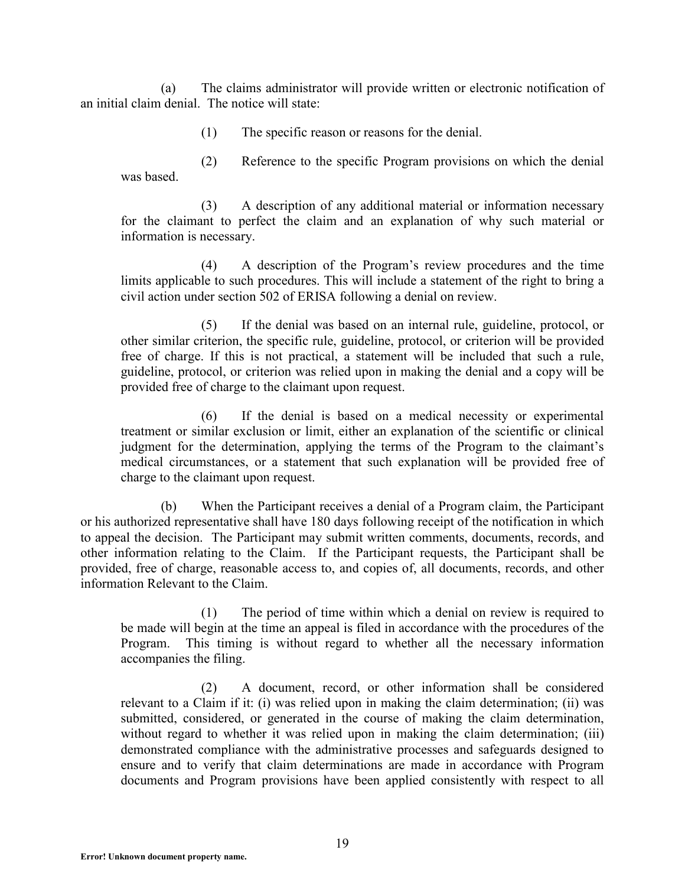(a) The claims administrator will provide written or electronic notification of an initial claim denial. The notice will state:

(1) The specific reason or reasons for the denial.

(2) Reference to the specific Program provisions on which the denial was based.

(3) A description of any additional material or information necessary for the claimant to perfect the claim and an explanation of why such material or information is necessary.

(4) A description of the Program's review procedures and the time limits applicable to such procedures. This will include a statement of the right to bring a civil action under section 502 of ERISA following a denial on review.

(5) If the denial was based on an internal rule, guideline, protocol, or other similar criterion, the specific rule, guideline, protocol, or criterion will be provided free of charge. If this is not practical, a statement will be included that such a rule, guideline, protocol, or criterion was relied upon in making the denial and a copy will be provided free of charge to the claimant upon request.

(6) If the denial is based on a medical necessity or experimental treatment or similar exclusion or limit, either an explanation of the scientific or clinical judgment for the determination, applying the terms of the Program to the claimant's medical circumstances, or a statement that such explanation will be provided free of charge to the claimant upon request.

(b) When the Participant receives a denial of a Program claim, the Participant or his authorized representative shall have 180 days following receipt of the notification in which to appeal the decision. The Participant may submit written comments, documents, records, and other information relating to the Claim. If the Participant requests, the Participant shall be provided, free of charge, reasonable access to, and copies of, all documents, records, and other information Relevant to the Claim.

(1) The period of time within which a denial on review is required to be made will begin at the time an appeal is filed in accordance with the procedures of the Program. This timing is without regard to whether all the necessary information accompanies the filing.

(2) A document, record, or other information shall be considered relevant to a Claim if it: (i) was relied upon in making the claim determination; (ii) was submitted, considered, or generated in the course of making the claim determination, without regard to whether it was relied upon in making the claim determination; (iii) demonstrated compliance with the administrative processes and safeguards designed to ensure and to verify that claim determinations are made in accordance with Program documents and Program provisions have been applied consistently with respect to all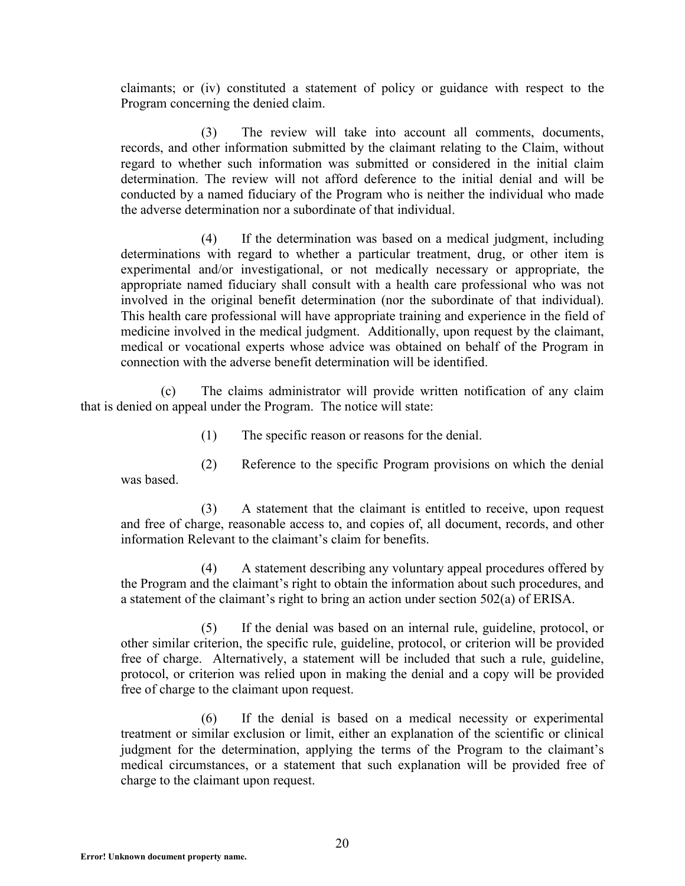claimants; or (iv) constituted a statement of policy or guidance with respect to the Program concerning the denied claim.

(3) The review will take into account all comments, documents, records, and other information submitted by the claimant relating to the Claim, without regard to whether such information was submitted or considered in the initial claim determination. The review will not afford deference to the initial denial and will be conducted by a named fiduciary of the Program who is neither the individual who made the adverse determination nor a subordinate of that individual.

(4) If the determination was based on a medical judgment, including determinations with regard to whether a particular treatment, drug, or other item is experimental and/or investigational, or not medically necessary or appropriate, the appropriate named fiduciary shall consult with a health care professional who was not involved in the original benefit determination (nor the subordinate of that individual). This health care professional will have appropriate training and experience in the field of medicine involved in the medical judgment. Additionally, upon request by the claimant, medical or vocational experts whose advice was obtained on behalf of the Program in connection with the adverse benefit determination will be identified.

(c) The claims administrator will provide written notification of any claim that is denied on appeal under the Program. The notice will state:

(1) The specific reason or reasons for the denial.

(2) Reference to the specific Program provisions on which the denial was based.

(3) A statement that the claimant is entitled to receive, upon request and free of charge, reasonable access to, and copies of, all document, records, and other information Relevant to the claimant's claim for benefits.

(4) A statement describing any voluntary appeal procedures offered by the Program and the claimant's right to obtain the information about such procedures, and a statement of the claimant's right to bring an action under section 502(a) of ERISA.

(5) If the denial was based on an internal rule, guideline, protocol, or other similar criterion, the specific rule, guideline, protocol, or criterion will be provided free of charge. Alternatively, a statement will be included that such a rule, guideline, protocol, or criterion was relied upon in making the denial and a copy will be provided free of charge to the claimant upon request.

(6) If the denial is based on a medical necessity or experimental treatment or similar exclusion or limit, either an explanation of the scientific or clinical judgment for the determination, applying the terms of the Program to the claimant's medical circumstances, or a statement that such explanation will be provided free of charge to the claimant upon request.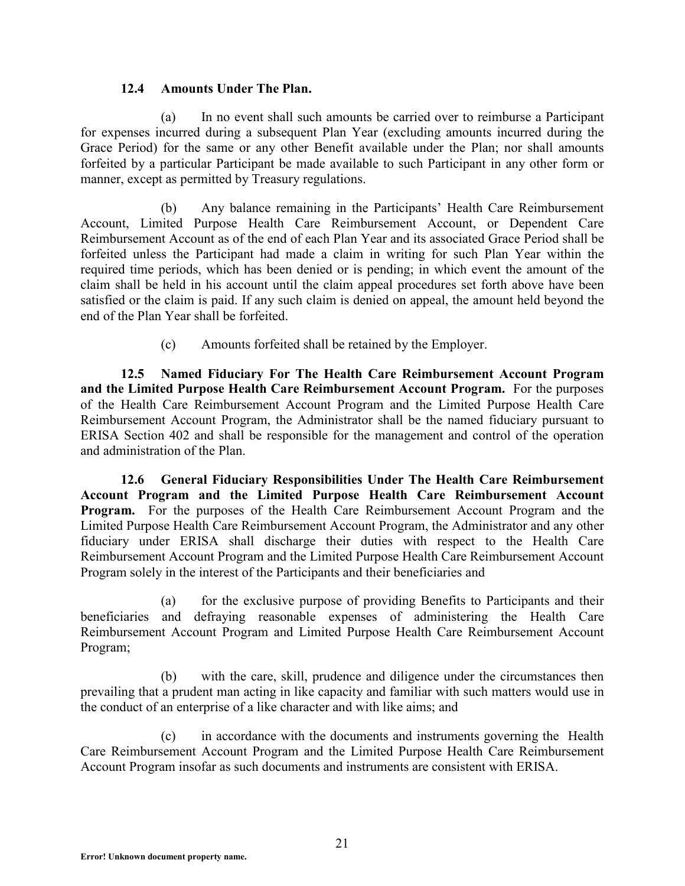### **12.4 Amounts Under The Plan.**

(a) In no event shall such amounts be carried over to reimburse a Participant for expenses incurred during a subsequent Plan Year (excluding amounts incurred during the Grace Period) for the same or any other Benefit available under the Plan; nor shall amounts forfeited by a particular Participant be made available to such Participant in any other form or manner, except as permitted by Treasury regulations.

(b) Any balance remaining in the Participants' Health Care Reimbursement Account, Limited Purpose Health Care Reimbursement Account, or Dependent Care Reimbursement Account as of the end of each Plan Year and its associated Grace Period shall be forfeited unless the Participant had made a claim in writing for such Plan Year within the required time periods, which has been denied or is pending; in which event the amount of the claim shall be held in his account until the claim appeal procedures set forth above have been satisfied or the claim is paid. If any such claim is denied on appeal, the amount held beyond the end of the Plan Year shall be forfeited.

(c) Amounts forfeited shall be retained by the Employer.

**12.5 Named Fiduciary For The Health Care Reimbursement Account Program and the Limited Purpose Health Care Reimbursement Account Program.** For the purposes of the Health Care Reimbursement Account Program and the Limited Purpose Health Care Reimbursement Account Program, the Administrator shall be the named fiduciary pursuant to ERISA Section 402 and shall be responsible for the management and control of the operation and administration of the Plan.

**12.6 General Fiduciary Responsibilities Under The Health Care Reimbursement Account Program and the Limited Purpose Health Care Reimbursement Account Program.** For the purposes of the Health Care Reimbursement Account Program and the Limited Purpose Health Care Reimbursement Account Program, the Administrator and any other fiduciary under ERISA shall discharge their duties with respect to the Health Care Reimbursement Account Program and the Limited Purpose Health Care Reimbursement Account Program solely in the interest of the Participants and their beneficiaries and

(a) for the exclusive purpose of providing Benefits to Participants and their beneficiaries and defraying reasonable expenses of administering the Health Care Reimbursement Account Program and Limited Purpose Health Care Reimbursement Account Program;

(b) with the care, skill, prudence and diligence under the circumstances then prevailing that a prudent man acting in like capacity and familiar with such matters would use in the conduct of an enterprise of a like character and with like aims; and

(c) in accordance with the documents and instruments governing the Health Care Reimbursement Account Program and the Limited Purpose Health Care Reimbursement Account Program insofar as such documents and instruments are consistent with ERISA.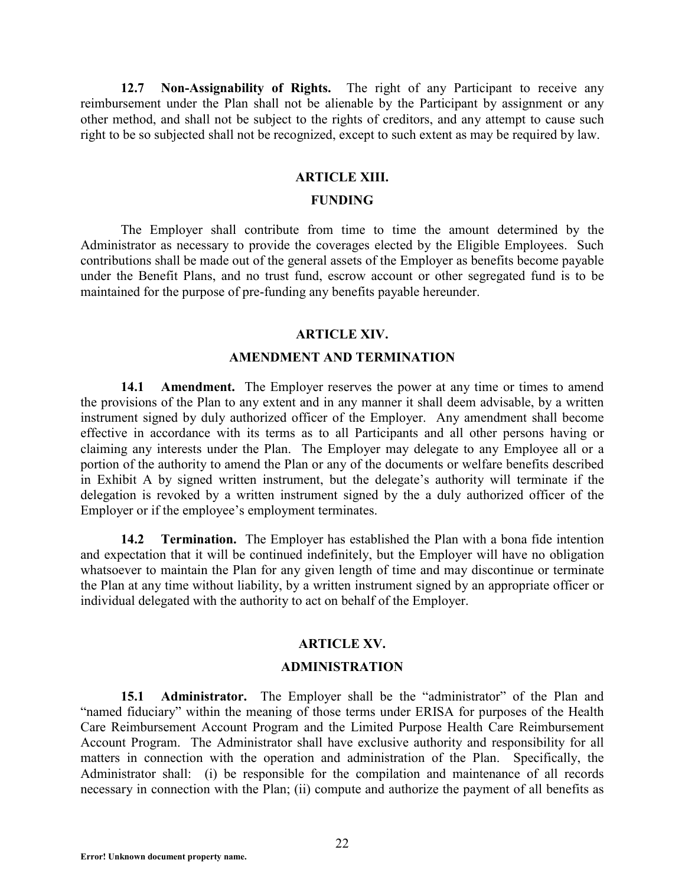**12.7 Non-Assignability of Rights.** The right of any Participant to receive any reimbursement under the Plan shall not be alienable by the Participant by assignment or any other method, and shall not be subject to the rights of creditors, and any attempt to cause such right to be so subjected shall not be recognized, except to such extent as may be required by law.

#### **ARTICLE XIII.**

#### **FUNDING**

The Employer shall contribute from time to time the amount determined by the Administrator as necessary to provide the coverages elected by the Eligible Employees. Such contributions shall be made out of the general assets of the Employer as benefits become payable under the Benefit Plans, and no trust fund, escrow account or other segregated fund is to be maintained for the purpose of pre-funding any benefits payable hereunder.

#### **ARTICLE XIV.**

#### **AMENDMENT AND TERMINATION**

**14.1 Amendment.** The Employer reserves the power at any time or times to amend the provisions of the Plan to any extent and in any manner it shall deem advisable, by a written instrument signed by duly authorized officer of the Employer. Any amendment shall become effective in accordance with its terms as to all Participants and all other persons having or claiming any interests under the Plan. The Employer may delegate to any Employee all or a portion of the authority to amend the Plan or any of the documents or welfare benefits described in Exhibit A by signed written instrument, but the delegate's authority will terminate if the delegation is revoked by a written instrument signed by the a duly authorized officer of the Employer or if the employee's employment terminates.

**14.2 Termination.** The Employer has established the Plan with a bona fide intention and expectation that it will be continued indefinitely, but the Employer will have no obligation whatsoever to maintain the Plan for any given length of time and may discontinue or terminate the Plan at any time without liability, by a written instrument signed by an appropriate officer or individual delegated with the authority to act on behalf of the Employer.

#### **ARTICLE XV.**

#### **ADMINISTRATION**

**15.1 Administrator.** The Employer shall be the "administrator" of the Plan and "named fiduciary" within the meaning of those terms under ERISA for purposes of the Health Care Reimbursement Account Program and the Limited Purpose Health Care Reimbursement Account Program. The Administrator shall have exclusive authority and responsibility for all matters in connection with the operation and administration of the Plan. Specifically, the Administrator shall: (i) be responsible for the compilation and maintenance of all records necessary in connection with the Plan; (ii) compute and authorize the payment of all benefits as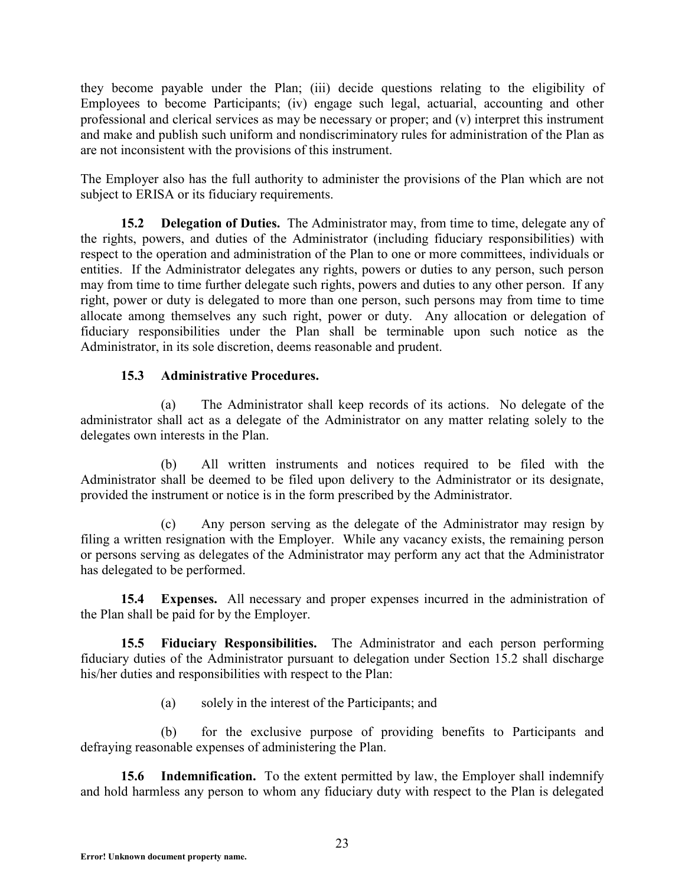they become payable under the Plan; (iii) decide questions relating to the eligibility of Employees to become Participants; (iv) engage such legal, actuarial, accounting and other professional and clerical services as may be necessary or proper; and (v) interpret this instrument and make and publish such uniform and nondiscriminatory rules for administration of the Plan as are not inconsistent with the provisions of this instrument.

The Employer also has the full authority to administer the provisions of the Plan which are not subject to ERISA or its fiduciary requirements.

**15.2 Delegation of Duties.** The Administrator may, from time to time, delegate any of the rights, powers, and duties of the Administrator (including fiduciary responsibilities) with respect to the operation and administration of the Plan to one or more committees, individuals or entities. If the Administrator delegates any rights, powers or duties to any person, such person may from time to time further delegate such rights, powers and duties to any other person. If any right, power or duty is delegated to more than one person, such persons may from time to time allocate among themselves any such right, power or duty. Any allocation or delegation of fiduciary responsibilities under the Plan shall be terminable upon such notice as the Administrator, in its sole discretion, deems reasonable and prudent.

# **15.3 Administrative Procedures.**

(a) The Administrator shall keep records of its actions. No delegate of the administrator shall act as a delegate of the Administrator on any matter relating solely to the delegates own interests in the Plan.

(b) All written instruments and notices required to be filed with the Administrator shall be deemed to be filed upon delivery to the Administrator or its designate, provided the instrument or notice is in the form prescribed by the Administrator.

(c) Any person serving as the delegate of the Administrator may resign by filing a written resignation with the Employer. While any vacancy exists, the remaining person or persons serving as delegates of the Administrator may perform any act that the Administrator has delegated to be performed.

**15.4 Expenses.** All necessary and proper expenses incurred in the administration of the Plan shall be paid for by the Employer.

**15.5 Fiduciary Responsibilities.** The Administrator and each person performing fiduciary duties of the Administrator pursuant to delegation under Section 15.2 shall discharge his/her duties and responsibilities with respect to the Plan:

(a) solely in the interest of the Participants; and

(b) for the exclusive purpose of providing benefits to Participants and defraying reasonable expenses of administering the Plan.

**15.6 Indemnification.** To the extent permitted by law, the Employer shall indemnify and hold harmless any person to whom any fiduciary duty with respect to the Plan is delegated

**Error! Unknown document property name.**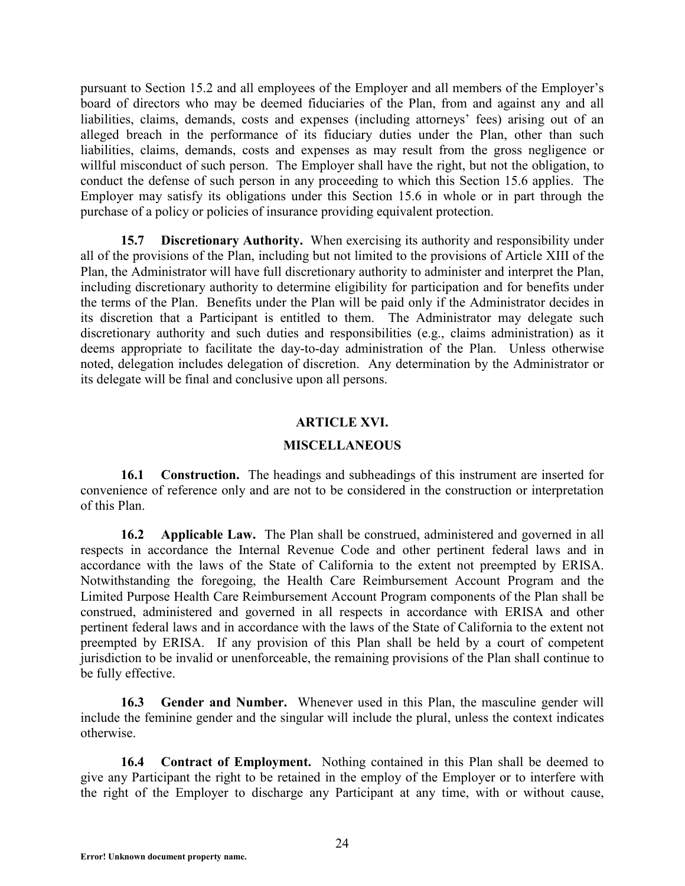pursuant to Section 15.2 and all employees of the Employer and all members of the Employer's board of directors who may be deemed fiduciaries of the Plan, from and against any and all liabilities, claims, demands, costs and expenses (including attorneys' fees) arising out of an alleged breach in the performance of its fiduciary duties under the Plan, other than such liabilities, claims, demands, costs and expenses as may result from the gross negligence or willful misconduct of such person. The Employer shall have the right, but not the obligation, to conduct the defense of such person in any proceeding to which this Section 15.6 applies. The Employer may satisfy its obligations under this Section 15.6 in whole or in part through the purchase of a policy or policies of insurance providing equivalent protection.

**15.7 Discretionary Authority.** When exercising its authority and responsibility under all of the provisions of the Plan, including but not limited to the provisions of Article XIII of the Plan, the Administrator will have full discretionary authority to administer and interpret the Plan, including discretionary authority to determine eligibility for participation and for benefits under the terms of the Plan. Benefits under the Plan will be paid only if the Administrator decides in its discretion that a Participant is entitled to them. The Administrator may delegate such discretionary authority and such duties and responsibilities (e.g., claims administration) as it deems appropriate to facilitate the day-to-day administration of the Plan. Unless otherwise noted, delegation includes delegation of discretion. Any determination by the Administrator or its delegate will be final and conclusive upon all persons.

### **ARTICLE XVI.**

#### **MISCELLANEOUS**

**16.1 Construction.** The headings and subheadings of this instrument are inserted for convenience of reference only and are not to be considered in the construction or interpretation of this Plan.

**16.2 Applicable Law.** The Plan shall be construed, administered and governed in all respects in accordance the Internal Revenue Code and other pertinent federal laws and in accordance with the laws of the State of California to the extent not preempted by ERISA. Notwithstanding the foregoing, the Health Care Reimbursement Account Program and the Limited Purpose Health Care Reimbursement Account Program components of the Plan shall be construed, administered and governed in all respects in accordance with ERISA and other pertinent federal laws and in accordance with the laws of the State of California to the extent not preempted by ERISA. If any provision of this Plan shall be held by a court of competent jurisdiction to be invalid or unenforceable, the remaining provisions of the Plan shall continue to be fully effective.

**16.3 Gender and Number.** Whenever used in this Plan, the masculine gender will include the feminine gender and the singular will include the plural, unless the context indicates otherwise.

**16.4 Contract of Employment.** Nothing contained in this Plan shall be deemed to give any Participant the right to be retained in the employ of the Employer or to interfere with the right of the Employer to discharge any Participant at any time, with or without cause,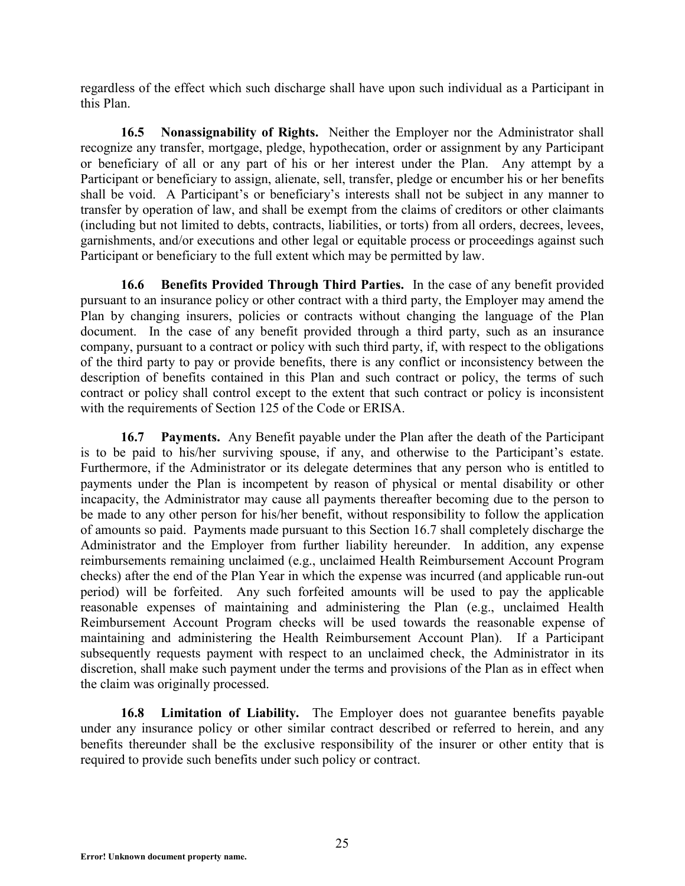regardless of the effect which such discharge shall have upon such individual as a Participant in this Plan.

**16.5 Nonassignability of Rights.** Neither the Employer nor the Administrator shall recognize any transfer, mortgage, pledge, hypothecation, order or assignment by any Participant or beneficiary of all or any part of his or her interest under the Plan. Any attempt by a Participant or beneficiary to assign, alienate, sell, transfer, pledge or encumber his or her benefits shall be void. A Participant's or beneficiary's interests shall not be subject in any manner to transfer by operation of law, and shall be exempt from the claims of creditors or other claimants (including but not limited to debts, contracts, liabilities, or torts) from all orders, decrees, levees, garnishments, and/or executions and other legal or equitable process or proceedings against such Participant or beneficiary to the full extent which may be permitted by law.

**16.6 Benefits Provided Through Third Parties.** In the case of any benefit provided pursuant to an insurance policy or other contract with a third party, the Employer may amend the Plan by changing insurers, policies or contracts without changing the language of the Plan document. In the case of any benefit provided through a third party, such as an insurance company, pursuant to a contract or policy with such third party, if, with respect to the obligations of the third party to pay or provide benefits, there is any conflict or inconsistency between the description of benefits contained in this Plan and such contract or policy, the terms of such contract or policy shall control except to the extent that such contract or policy is inconsistent with the requirements of Section 125 of the Code or ERISA.

**16.7 Payments.** Any Benefit payable under the Plan after the death of the Participant is to be paid to his/her surviving spouse, if any, and otherwise to the Participant's estate. Furthermore, if the Administrator or its delegate determines that any person who is entitled to payments under the Plan is incompetent by reason of physical or mental disability or other incapacity, the Administrator may cause all payments thereafter becoming due to the person to be made to any other person for his/her benefit, without responsibility to follow the application of amounts so paid. Payments made pursuant to this Section 16.7 shall completely discharge the Administrator and the Employer from further liability hereunder. In addition, any expense reimbursements remaining unclaimed (e.g., unclaimed Health Reimbursement Account Program checks) after the end of the Plan Year in which the expense was incurred (and applicable run-out period) will be forfeited. Any such forfeited amounts will be used to pay the applicable reasonable expenses of maintaining and administering the Plan (e.g., unclaimed Health Reimbursement Account Program checks will be used towards the reasonable expense of maintaining and administering the Health Reimbursement Account Plan). If a Participant subsequently requests payment with respect to an unclaimed check, the Administrator in its discretion, shall make such payment under the terms and provisions of the Plan as in effect when the claim was originally processed.

**16.8 Limitation of Liability.** The Employer does not guarantee benefits payable under any insurance policy or other similar contract described or referred to herein, and any benefits thereunder shall be the exclusive responsibility of the insurer or other entity that is required to provide such benefits under such policy or contract.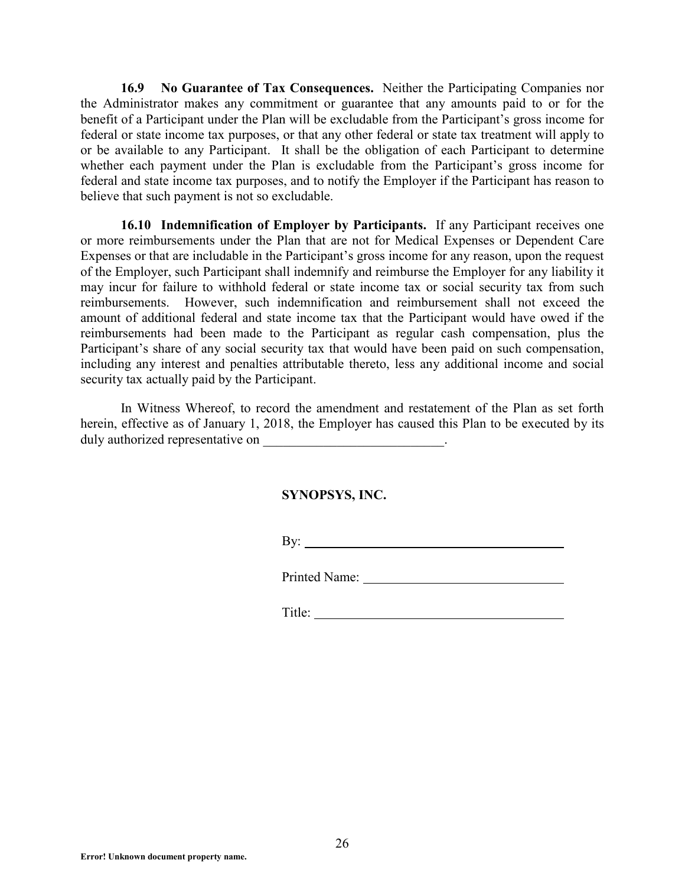**16.9 No Guarantee of Tax Consequences.** Neither the Participating Companies nor the Administrator makes any commitment or guarantee that any amounts paid to or for the benefit of a Participant under the Plan will be excludable from the Participant's gross income for federal or state income tax purposes, or that any other federal or state tax treatment will apply to or be available to any Participant. It shall be the obligation of each Participant to determine whether each payment under the Plan is excludable from the Participant's gross income for federal and state income tax purposes, and to notify the Employer if the Participant has reason to believe that such payment is not so excludable.

**16.10 Indemnification of Employer by Participants.** If any Participant receives one or more reimbursements under the Plan that are not for Medical Expenses or Dependent Care Expenses or that are includable in the Participant's gross income for any reason, upon the request of the Employer, such Participant shall indemnify and reimburse the Employer for any liability it may incur for failure to withhold federal or state income tax or social security tax from such reimbursements. However, such indemnification and reimbursement shall not exceed the amount of additional federal and state income tax that the Participant would have owed if the reimbursements had been made to the Participant as regular cash compensation, plus the Participant's share of any social security tax that would have been paid on such compensation, including any interest and penalties attributable thereto, less any additional income and social security tax actually paid by the Participant.

In Witness Whereof, to record the amendment and restatement of the Plan as set forth herein, effective as of January 1, 2018, the Employer has caused this Plan to be executed by its duly authorized representative on \_\_\_\_\_\_\_\_\_\_\_\_\_\_\_\_\_\_\_\_\_\_\_\_\_\_\_.

### **SYNOPSYS, INC.**

By:

Printed Name: 1988 and 1988 and 1988 and 1988 and 1988 and 1988 and 1988 and 1988 and 1988 and 1988 and 1988 and 1988 and 1988 and 1988 and 1988 and 1988 and 1988 and 1988 and 1988 and 1988 and 1988 and 1988 and 1988 and 1

Title: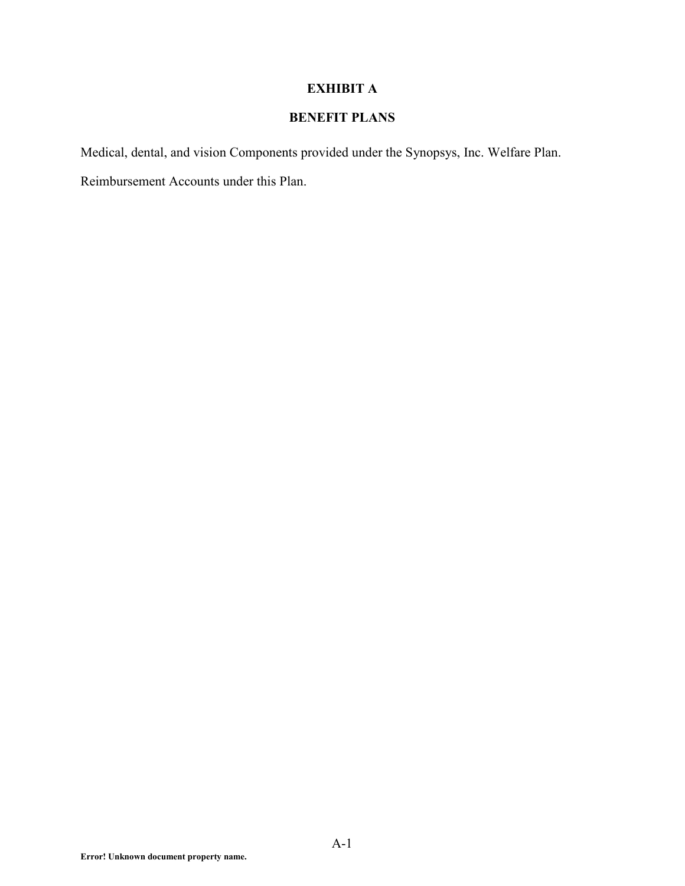# **EXHIBIT A**

# **BENEFIT PLANS**

Medical, dental, and vision Components provided under the Synopsys, Inc. Welfare Plan. Reimbursement Accounts under this Plan.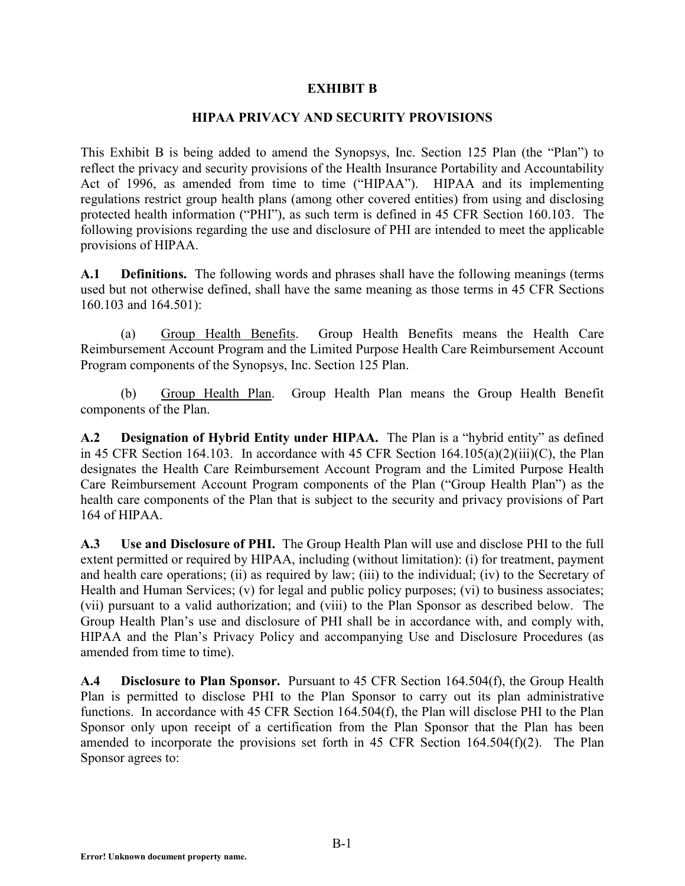### **EXHIBIT B**

### **HIPAA PRIVACY AND SECURITY PROVISIONS**

This Exhibit B is being added to amend the Synopsys, Inc. Section 125 Plan (the "Plan") to reflect the privacy and security provisions of the Health Insurance Portability and Accountability Act of 1996, as amended from time to time ("HIPAA"). HIPAA and its implementing regulations restrict group health plans (among other covered entities) from using and disclosing protected health information ("PHI"), as such term is defined in 45 CFR Section 160.103. The following provisions regarding the use and disclosure of PHI are intended to meet the applicable provisions of HIPAA.

**A.1 Definitions.** The following words and phrases shall have the following meanings (terms used but not otherwise defined, shall have the same meaning as those terms in 45 CFR Sections 160.103 and 164.501):

(a) Group Health Benefits. Group Health Benefits means the Health Care Reimbursement Account Program and the Limited Purpose Health Care Reimbursement Account Program components of the Synopsys, Inc. Section 125 Plan.

(b) Group Health Plan. Group Health Plan means the Group Health Benefit components of the Plan.

**A.2 Designation of Hybrid Entity under HIPAA.** The Plan is a "hybrid entity" as defined in 45 CFR Section 164.103. In accordance with 45 CFR Section  $164.105(a)(2)(iii)(C)$ , the Plan designates the Health Care Reimbursement Account Program and the Limited Purpose Health Care Reimbursement Account Program components of the Plan ("Group Health Plan") as the health care components of the Plan that is subject to the security and privacy provisions of Part 164 of HIPAA.

**A.3 Use and Disclosure of PHI.** The Group Health Plan will use and disclose PHI to the full extent permitted or required by HIPAA, including (without limitation): (i) for treatment, payment and health care operations; (ii) as required by law; (iii) to the individual; (iv) to the Secretary of Health and Human Services; (v) for legal and public policy purposes; (vi) to business associates; (vii) pursuant to a valid authorization; and (viii) to the Plan Sponsor as described below. The Group Health Plan's use and disclosure of PHI shall be in accordance with, and comply with, HIPAA and the Plan's Privacy Policy and accompanying Use and Disclosure Procedures (as amended from time to time).

**A.4 Disclosure to Plan Sponsor.** Pursuant to 45 CFR Section 164.504(f), the Group Health Plan is permitted to disclose PHI to the Plan Sponsor to carry out its plan administrative functions. In accordance with 45 CFR Section 164.504(f), the Plan will disclose PHI to the Plan Sponsor only upon receipt of a certification from the Plan Sponsor that the Plan has been amended to incorporate the provisions set forth in 45 CFR Section 164.504(f)(2). The Plan Sponsor agrees to: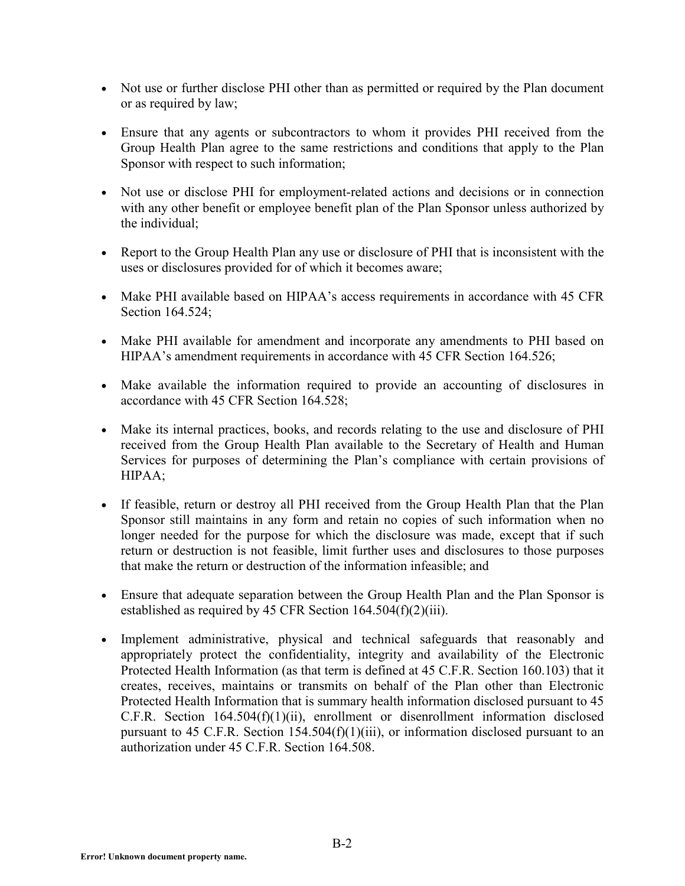- Not use or further disclose PHI other than as permitted or required by the Plan document or as required by law;
- Ensure that any agents or subcontractors to whom it provides PHI received from the Group Health Plan agree to the same restrictions and conditions that apply to the Plan Sponsor with respect to such information;
- Not use or disclose PHI for employment-related actions and decisions or in connection with any other benefit or employee benefit plan of the Plan Sponsor unless authorized by the individual;
- Report to the Group Health Plan any use or disclosure of PHI that is inconsistent with the uses or disclosures provided for of which it becomes aware;
- Make PHI available based on HIPAA's access requirements in accordance with 45 CFR Section 164.524;
- Make PHI available for amendment and incorporate any amendments to PHI based on HIPAA's amendment requirements in accordance with 45 CFR Section 164.526;
- Make available the information required to provide an accounting of disclosures in accordance with 45 CFR Section 164.528;
- Make its internal practices, books, and records relating to the use and disclosure of PHI received from the Group Health Plan available to the Secretary of Health and Human Services for purposes of determining the Plan's compliance with certain provisions of HIPAA;
- If feasible, return or destroy all PHI received from the Group Health Plan that the Plan Sponsor still maintains in any form and retain no copies of such information when no longer needed for the purpose for which the disclosure was made, except that if such return or destruction is not feasible, limit further uses and disclosures to those purposes that make the return or destruction of the information infeasible; and
- Ensure that adequate separation between the Group Health Plan and the Plan Sponsor is established as required by 45 CFR Section 164.504(f)(2)(iii).
- Implement administrative, physical and technical safeguards that reasonably and appropriately protect the confidentiality, integrity and availability of the Electronic Protected Health Information (as that term is defined at 45 C.F.R. Section 160.103) that it creates, receives, maintains or transmits on behalf of the Plan other than Electronic Protected Health Information that is summary health information disclosed pursuant to 45 C.F.R. Section 164.504(f)(1)(ii), enrollment or disenrollment information disclosed pursuant to 45 C.F.R. Section 154.504(f)(1)(iii), or information disclosed pursuant to an authorization under  $45 \text{ C}$  F R. Section 164.508.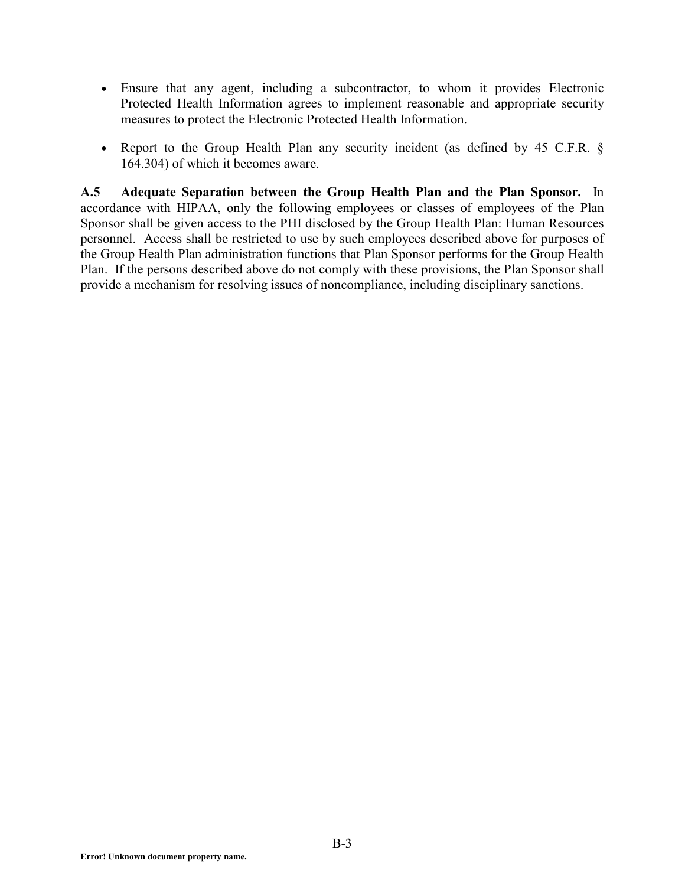- Ensure that any agent, including a subcontractor, to whom it provides Electronic Protected Health Information agrees to implement reasonable and appropriate security measures to protect the Electronic Protected Health Information.
- Report to the Group Health Plan any security incident (as defined by 45 C.F.R. § 164.304) of which it becomes aware.

**A.5 Adequate Separation between the Group Health Plan and the Plan Sponsor.** In accordance with HIPAA, only the following employees or classes of employees of the Plan Sponsor shall be given access to the PHI disclosed by the Group Health Plan: Human Resources personnel. Access shall be restricted to use by such employees described above for purposes of the Group Health Plan administration functions that Plan Sponsor performs for the Group Health Plan. If the persons described above do not comply with these provisions, the Plan Sponsor shall provide a mechanism for resolving issues of noncompliance, including disciplinary sanctions.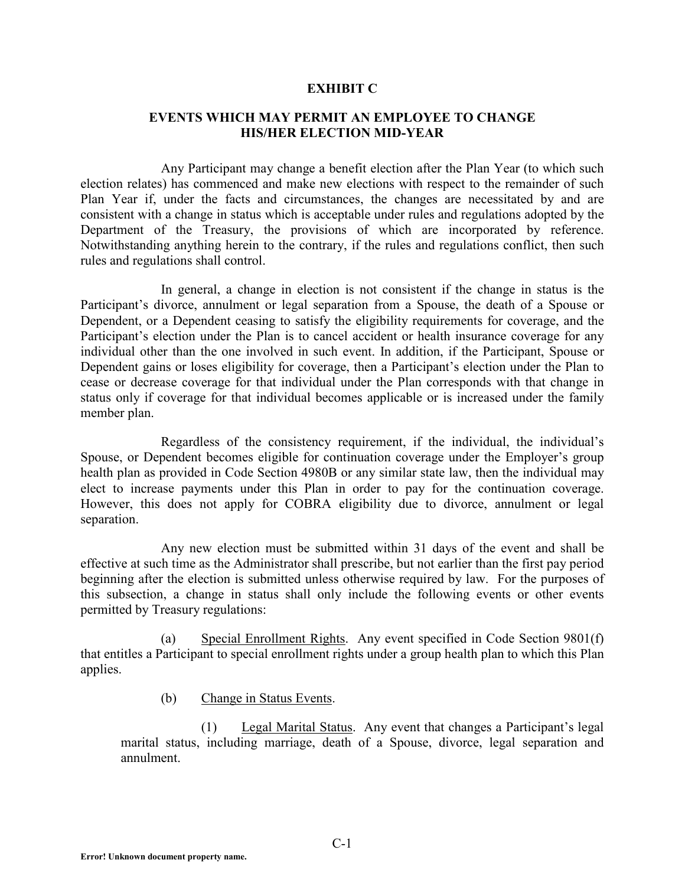#### **EXHIBIT C**

### **EVENTS WHICH MAY PERMIT AN EMPLOYEE TO CHANGE HIS/HER ELECTION MID-YEAR**

Any Participant may change a benefit election after the Plan Year (to which such election relates) has commenced and make new elections with respect to the remainder of such Plan Year if, under the facts and circumstances, the changes are necessitated by and are consistent with a change in status which is acceptable under rules and regulations adopted by the Department of the Treasury, the provisions of which are incorporated by reference. Notwithstanding anything herein to the contrary, if the rules and regulations conflict, then such rules and regulations shall control.

In general, a change in election is not consistent if the change in status is the Participant's divorce, annulment or legal separation from a Spouse, the death of a Spouse or Dependent, or a Dependent ceasing to satisfy the eligibility requirements for coverage, and the Participant's election under the Plan is to cancel accident or health insurance coverage for any individual other than the one involved in such event. In addition, if the Participant, Spouse or Dependent gains or loses eligibility for coverage, then a Participant's election under the Plan to cease or decrease coverage for that individual under the Plan corresponds with that change in status only if coverage for that individual becomes applicable or is increased under the family member plan.

Regardless of the consistency requirement, if the individual, the individual's Spouse, or Dependent becomes eligible for continuation coverage under the Employer's group health plan as provided in Code Section 4980B or any similar state law, then the individual may elect to increase payments under this Plan in order to pay for the continuation coverage. However, this does not apply for COBRA eligibility due to divorce, annulment or legal separation.

Any new election must be submitted within 31 days of the event and shall be effective at such time as the Administrator shall prescribe, but not earlier than the first pay period beginning after the election is submitted unless otherwise required by law. For the purposes of this subsection, a change in status shall only include the following events or other events permitted by Treasury regulations:

(a) Special Enrollment Rights. Any event specified in Code Section 9801(f) that entitles a Participant to special enrollment rights under a group health plan to which this Plan applies.

(b) Change in Status Events.

(1) Legal Marital Status. Any event that changes a Participant's legal marital status, including marriage, death of a Spouse, divorce, legal separation and annulment.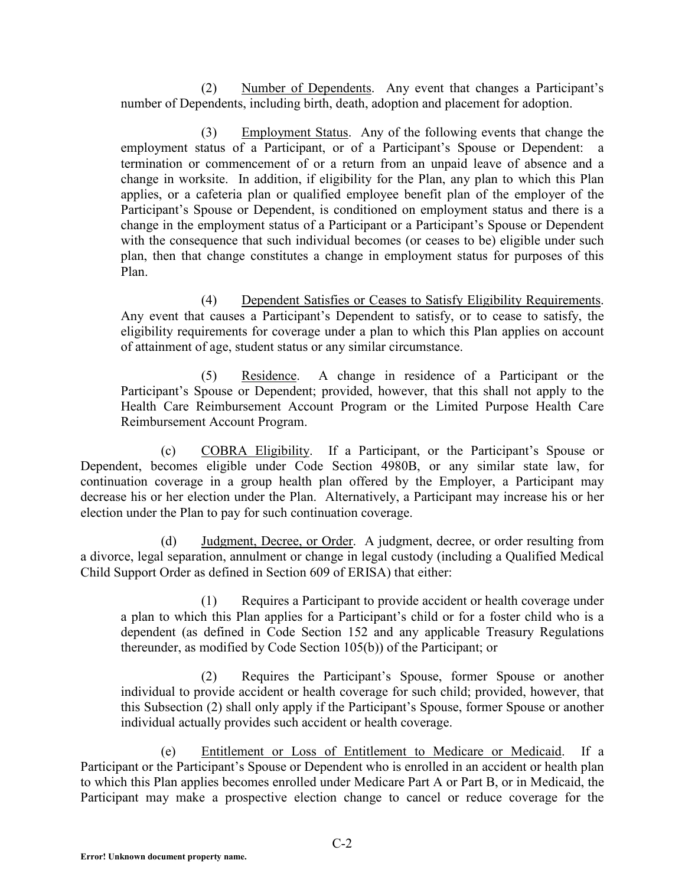(2) Number of Dependents. Any event that changes a Participant's number of Dependents, including birth, death, adoption and placement for adoption.

(3) Employment Status. Any of the following events that change the employment status of a Participant, or of a Participant's Spouse or Dependent: a termination or commencement of or a return from an unpaid leave of absence and a change in worksite. In addition, if eligibility for the Plan, any plan to which this Plan applies, or a cafeteria plan or qualified employee benefit plan of the employer of the Participant's Spouse or Dependent, is conditioned on employment status and there is a change in the employment status of a Participant or a Participant's Spouse or Dependent with the consequence that such individual becomes (or ceases to be) eligible under such plan, then that change constitutes a change in employment status for purposes of this Plan.

(4) Dependent Satisfies or Ceases to Satisfy Eligibility Requirements. Any event that causes a Participant's Dependent to satisfy, or to cease to satisfy, the eligibility requirements for coverage under a plan to which this Plan applies on account of attainment of age, student status or any similar circumstance.

(5) Residence. A change in residence of a Participant or the Participant's Spouse or Dependent; provided, however, that this shall not apply to the Health Care Reimbursement Account Program or the Limited Purpose Health Care Reimbursement Account Program.

(c) COBRA Eligibility. If a Participant, or the Participant's Spouse or Dependent, becomes eligible under Code Section 4980B, or any similar state law, for continuation coverage in a group health plan offered by the Employer, a Participant may decrease his or her election under the Plan. Alternatively, a Participant may increase his or her election under the Plan to pay for such continuation coverage.

(d) Judgment, Decree, or Order. A judgment, decree, or order resulting from a divorce, legal separation, annulment or change in legal custody (including a Qualified Medical Child Support Order as defined in Section 609 of ERISA) that either:

(1) Requires a Participant to provide accident or health coverage under a plan to which this Plan applies for a Participant's child or for a foster child who is a dependent (as defined in Code Section 152 and any applicable Treasury Regulations thereunder, as modified by Code Section 105(b)) of the Participant; or

(2) Requires the Participant's Spouse, former Spouse or another individual to provide accident or health coverage for such child; provided, however, that this Subsection (2) shall only apply if the Participant's Spouse, former Spouse or another individual actually provides such accident or health coverage.

(e) Entitlement or Loss of Entitlement to Medicare or Medicaid. If a Participant or the Participant's Spouse or Dependent who is enrolled in an accident or health plan to which this Plan applies becomes enrolled under Medicare Part A or Part B, or in Medicaid, the Participant may make a prospective election change to cancel or reduce coverage for the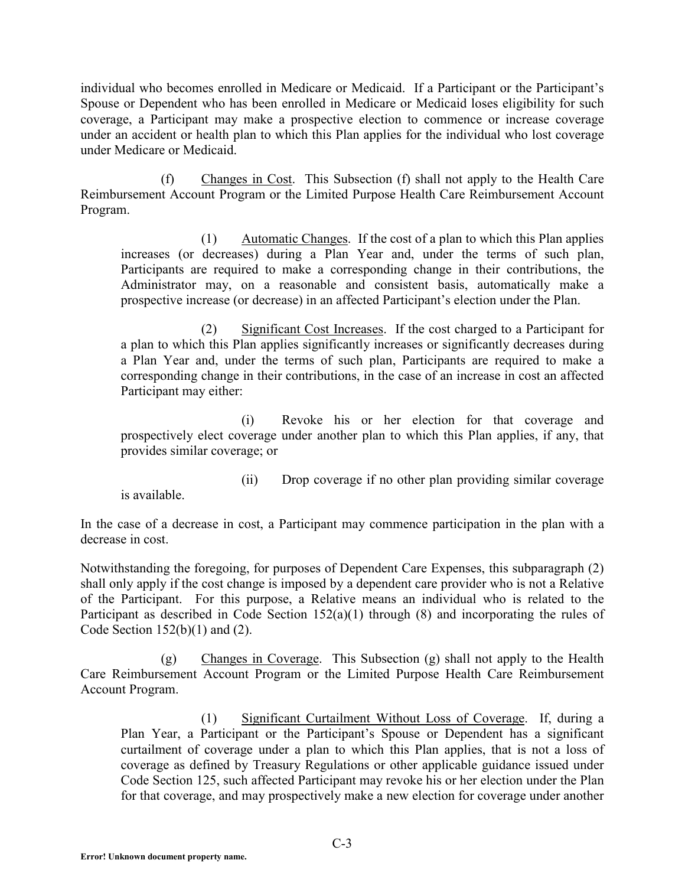individual who becomes enrolled in Medicare or Medicaid. If a Participant or the Participant's Spouse or Dependent who has been enrolled in Medicare or Medicaid loses eligibility for such coverage, a Participant may make a prospective election to commence or increase coverage under an accident or health plan to which this Plan applies for the individual who lost coverage under Medicare or Medicaid.

(f) Changes in Cost. This Subsection (f) shall not apply to the Health Care Reimbursement Account Program or the Limited Purpose Health Care Reimbursement Account Program.

(1) Automatic Changes. If the cost of a plan to which this Plan applies increases (or decreases) during a Plan Year and, under the terms of such plan, Participants are required to make a corresponding change in their contributions, the Administrator may, on a reasonable and consistent basis, automatically make a prospective increase (or decrease) in an affected Participant's election under the Plan.

(2) Significant Cost Increases. If the cost charged to a Participant for a plan to which this Plan applies significantly increases or significantly decreases during a Plan Year and, under the terms of such plan, Participants are required to make a corresponding change in their contributions, in the case of an increase in cost an affected Participant may either:

(i) Revoke his or her election for that coverage and prospectively elect coverage under another plan to which this Plan applies, if any, that provides similar coverage; or

is available.

(ii) Drop coverage if no other plan providing similar coverage

In the case of a decrease in cost, a Participant may commence participation in the plan with a decrease in cost.

Notwithstanding the foregoing, for purposes of Dependent Care Expenses, this subparagraph (2) shall only apply if the cost change is imposed by a dependent care provider who is not a Relative of the Participant. For this purpose, a Relative means an individual who is related to the Participant as described in Code Section 152(a)(1) through (8) and incorporating the rules of Code Section  $152(b)(1)$  and  $(2)$ .

(g) Changes in Coverage. This Subsection (g) shall not apply to the Health Care Reimbursement Account Program or the Limited Purpose Health Care Reimbursement Account Program.

(1) Significant Curtailment Without Loss of Coverage. If, during a Plan Year, a Participant or the Participant's Spouse or Dependent has a significant curtailment of coverage under a plan to which this Plan applies, that is not a loss of coverage as defined by Treasury Regulations or other applicable guidance issued under Code Section 125, such affected Participant may revoke his or her election under the Plan for that coverage, and may prospectively make a new election for coverage under another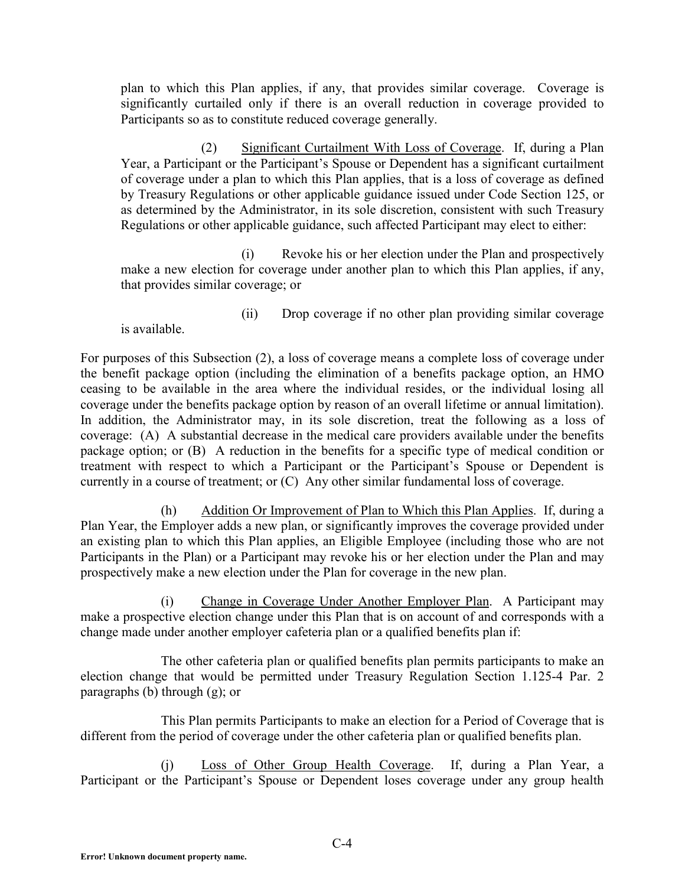plan to which this Plan applies, if any, that provides similar coverage. Coverage is significantly curtailed only if there is an overall reduction in coverage provided to Participants so as to constitute reduced coverage generally.

(2) Significant Curtailment With Loss of Coverage. If, during a Plan Year, a Participant or the Participant's Spouse or Dependent has a significant curtailment of coverage under a plan to which this Plan applies, that is a loss of coverage as defined by Treasury Regulations or other applicable guidance issued under Code Section 125, or as determined by the Administrator, in its sole discretion, consistent with such Treasury Regulations or other applicable guidance, such affected Participant may elect to either:

(i) Revoke his or her election under the Plan and prospectively make a new election for coverage under another plan to which this Plan applies, if any, that provides similar coverage; or

is available.

(ii) Drop coverage if no other plan providing similar coverage

For purposes of this Subsection (2), a loss of coverage means a complete loss of coverage under the benefit package option (including the elimination of a benefits package option, an HMO ceasing to be available in the area where the individual resides, or the individual losing all coverage under the benefits package option by reason of an overall lifetime or annual limitation). In addition, the Administrator may, in its sole discretion, treat the following as a loss of coverage: (A) A substantial decrease in the medical care providers available under the benefits package option; or (B) A reduction in the benefits for a specific type of medical condition or treatment with respect to which a Participant or the Participant's Spouse or Dependent is currently in a course of treatment; or (C) Any other similar fundamental loss of coverage.

(h) Addition Or Improvement of Plan to Which this Plan Applies. If, during a Plan Year, the Employer adds a new plan, or significantly improves the coverage provided under an existing plan to which this Plan applies, an Eligible Employee (including those who are not Participants in the Plan) or a Participant may revoke his or her election under the Plan and may prospectively make a new election under the Plan for coverage in the new plan.

(i) Change in Coverage Under Another Employer Plan. A Participant may make a prospective election change under this Plan that is on account of and corresponds with a change made under another employer cafeteria plan or a qualified benefits plan if:

The other cafeteria plan or qualified benefits plan permits participants to make an election change that would be permitted under Treasury Regulation Section 1.125-4 Par. 2 paragraphs (b) through (g); or

This Plan permits Participants to make an election for a Period of Coverage that is different from the period of coverage under the other cafeteria plan or qualified benefits plan.

(j) Loss of Other Group Health Coverage. If, during a Plan Year, a Participant or the Participant's Spouse or Dependent loses coverage under any group health

**Error! Unknown document property name.**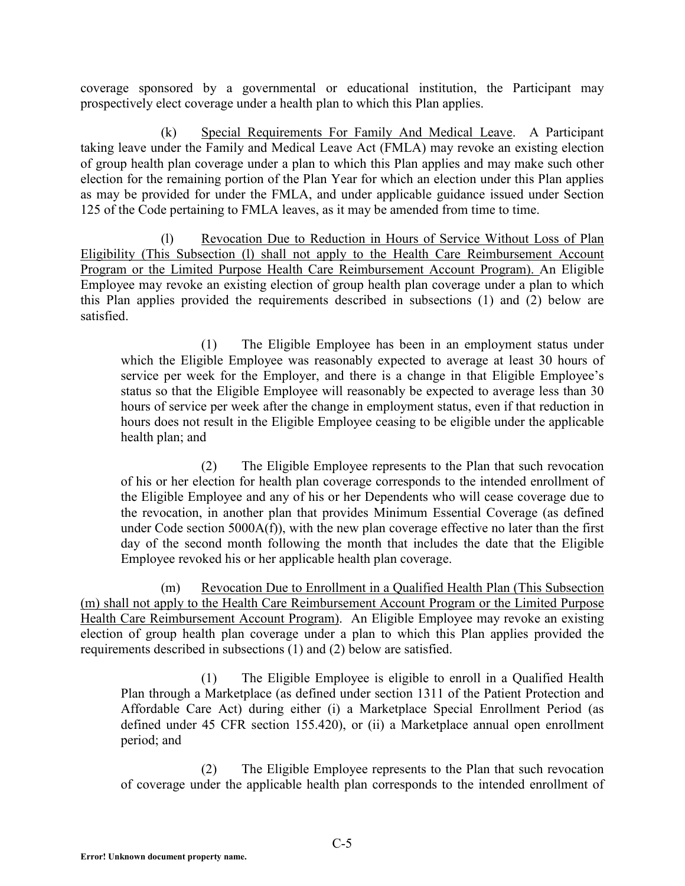coverage sponsored by a governmental or educational institution, the Participant may prospectively elect coverage under a health plan to which this Plan applies.

(k) Special Requirements For Family And Medical Leave. A Participant taking leave under the Family and Medical Leave Act (FMLA) may revoke an existing election of group health plan coverage under a plan to which this Plan applies and may make such other election for the remaining portion of the Plan Year for which an election under this Plan applies as may be provided for under the FMLA, and under applicable guidance issued under Section 125 of the Code pertaining to FMLA leaves, as it may be amended from time to time.

(l) Revocation Due to Reduction in Hours of Service Without Loss of Plan Eligibility (This Subsection (l) shall not apply to the Health Care Reimbursement Account Program or the Limited Purpose Health Care Reimbursement Account Program). An Eligible Employee may revoke an existing election of group health plan coverage under a plan to which this Plan applies provided the requirements described in subsections (1) and (2) below are satisfied.

(1) The Eligible Employee has been in an employment status under which the Eligible Employee was reasonably expected to average at least 30 hours of service per week for the Employer, and there is a change in that Eligible Employee's status so that the Eligible Employee will reasonably be expected to average less than 30 hours of service per week after the change in employment status, even if that reduction in hours does not result in the Eligible Employee ceasing to be eligible under the applicable health plan; and

(2) The Eligible Employee represents to the Plan that such revocation of his or her election for health plan coverage corresponds to the intended enrollment of the Eligible Employee and any of his or her Dependents who will cease coverage due to the revocation, in another plan that provides Minimum Essential Coverage (as defined under Code section 5000A(f)), with the new plan coverage effective no later than the first day of the second month following the month that includes the date that the Eligible Employee revoked his or her applicable health plan coverage.

(m) Revocation Due to Enrollment in a Qualified Health Plan (This Subsection (m) shall not apply to the Health Care Reimbursement Account Program or the Limited Purpose Health Care Reimbursement Account Program). An Eligible Employee may revoke an existing election of group health plan coverage under a plan to which this Plan applies provided the requirements described in subsections (1) and (2) below are satisfied.

(1) The Eligible Employee is eligible to enroll in a Qualified Health Plan through a Marketplace (as defined under section 1311 of the Patient Protection and Affordable Care Act) during either (i) a Marketplace Special Enrollment Period (as defined under 45 CFR section 155.420), or (ii) a Marketplace annual open enrollment period; and

(2) The Eligible Employee represents to the Plan that such revocation of coverage under the applicable health plan corresponds to the intended enrollment of

**Error! Unknown document property name.**